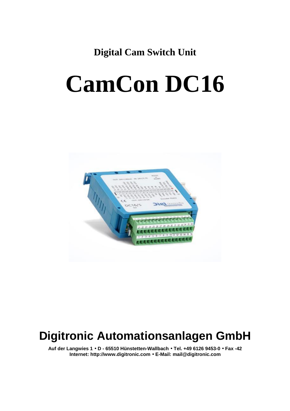**Digital Cam Switch Unit**

# **CamCon DC16**



### **Digitronic Automationsanlagen GmbH**

**Auf der Langwies 1 · D - 65510 Hünstetten-Wallbach · Tel. +49 6126 9453-0 · Fax -42 Internet: http://www.digitronic.com · E-Mail: mail@digitronic.com**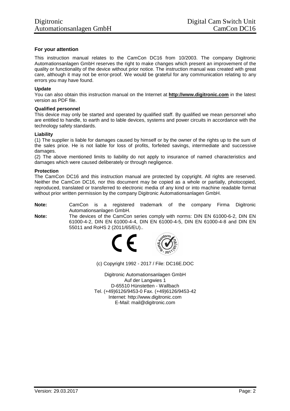#### **For your attention**

This instruction manual relates to the CamCon DC16 from 10/2003. The company Digitronic Automationsanlagen GmbH reserves the right to make changes which present an improvement of the quality or functionality of the device without prior notice. The instruction manual was created with great care, although it may not be error-proof. We would be grateful for any communication relating to any errors you may have found.

#### **Update**

You can also obtain this instruction manual on the Internet at **http://www.digitronic.com** in the latest version as PDF file.

#### **Qualified personnel**

This device may only be started and operated by qualified staff. By qualified we mean personnel who are entitled to handle, to earth and to lable devices, systems and power circuits in accordance with the technology safety standards.

#### **Liability**

(1) The supplier is liable for damages caused by himself or by the owner of the rights up to the sum of the sales price. He is not liable for loss of profits, forfeited savings, intermediate and successive damages.

(2) The above mentioned limits to liability do not apply to insurance of named characteristics and damages which were caused deliberately or through negligence.

#### **Protection**

The CamCon DC16 and this instruction manual are protected by copyright. All rights are reserved. Neither the CamCon DC16, nor this document may be copied as a whole or partially, photocopied, reproduced, translated or transferred to electronic media of any kind or into machine readable format without prior written permission by the company Digitronic Automationsanlagen GmbH.

**Note:** CamCon is a registered trademark of the company Firma Digitronic Automationsanlagen GmbH.

**Note:** The devices of the CamCon series comply with norms: DIN EN 61000-6-2, DIN EN 61000-4-2, DIN EN 61000-4-4, DIN EN 61000-4-5, DIN EN 61000-4-8 and DIN EN 55011 and RoHS 2 (2011/65/EU)..



(c) Copyright 1992 - 2017 / File: DC16E.DOC

Digitronic Automationsanlagen GmbH Auf der Langwies 1 D-65510 Hünstetten - Wallbach Tel. (+49)6126/9453-0 Fax. (+49)6126/9453-42 Internet: http://www.digitronic.com E-Mail: mail@digitronic.com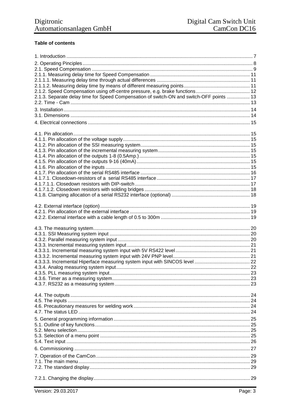#### Table of contents

| 2.1.3. Separate delay time for Speed Compensation of switch-ON and switch-OFF points  13 |  |
|------------------------------------------------------------------------------------------|--|
|                                                                                          |  |
|                                                                                          |  |
|                                                                                          |  |
|                                                                                          |  |
|                                                                                          |  |
|                                                                                          |  |
|                                                                                          |  |
|                                                                                          |  |
|                                                                                          |  |
|                                                                                          |  |
|                                                                                          |  |
|                                                                                          |  |
|                                                                                          |  |
|                                                                                          |  |
|                                                                                          |  |
|                                                                                          |  |
|                                                                                          |  |
|                                                                                          |  |
|                                                                                          |  |
|                                                                                          |  |
|                                                                                          |  |
|                                                                                          |  |
|                                                                                          |  |
|                                                                                          |  |
|                                                                                          |  |
|                                                                                          |  |
|                                                                                          |  |
|                                                                                          |  |
|                                                                                          |  |
|                                                                                          |  |
|                                                                                          |  |
|                                                                                          |  |
|                                                                                          |  |
|                                                                                          |  |
|                                                                                          |  |
|                                                                                          |  |
|                                                                                          |  |
|                                                                                          |  |
|                                                                                          |  |
|                                                                                          |  |
|                                                                                          |  |
|                                                                                          |  |
|                                                                                          |  |
|                                                                                          |  |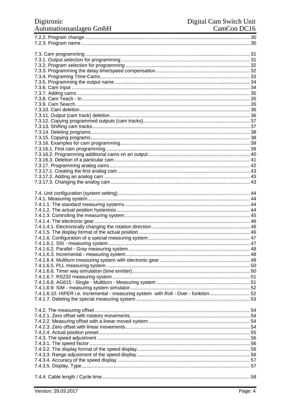## Digitronic<br>Automationsanlagen GmbH

| 7.4.1.6.10. HIPER i.e. incremental - measuring system with Roll - Over - funktion 52 |  |
|--------------------------------------------------------------------------------------|--|
|                                                                                      |  |
|                                                                                      |  |
|                                                                                      |  |
|                                                                                      |  |
|                                                                                      |  |
|                                                                                      |  |
|                                                                                      |  |
|                                                                                      |  |
|                                                                                      |  |
|                                                                                      |  |
|                                                                                      |  |
|                                                                                      |  |
|                                                                                      |  |
|                                                                                      |  |
|                                                                                      |  |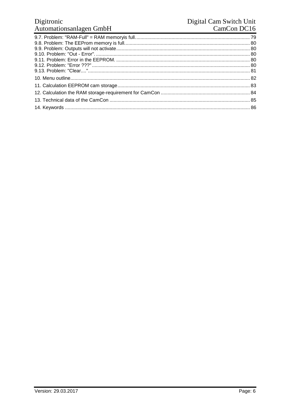## Digitronic<br>Automationsanlagen GmbH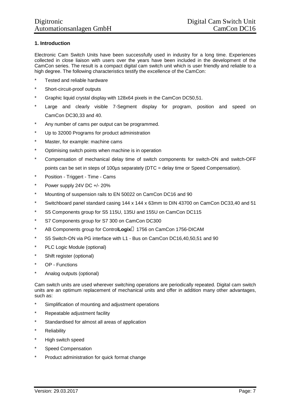#### **1. Introduction**

Electronic Cam Switch Units have been successfully used in industry for a long time. Experiences collected in close liaison with users over the years have been included in the development of the CamCon series. The result is a compact digital cam switch unit which is user friendly and reliable to a high degree. The following characteristics testify the excellence of the CamCon:

- \* Tested and reliable hardware
- \* Short-circuit-proof outputs
- \* Graphic liquid crystal display with 128x64 pixels in the CamCon DC50,51.
- \* Large and clearly visible 7-Segment display for program, position and speed on CamCon DC30,33 and 40.
- \* Any number of cams per output can be programmed.
- \* Up to 32000 Programs for product administration
- \* Master, for example: machine cams
- \* Optimising switch points when machine is in operation
- \* Compensation of mechanical delay time of switch components for switch-ON and switch-OFF points can be set in steps of 100µs separately (DTC = delay time or Speed Compensation).
- \* Position Triggert Time Cams
- \* Power supply 24V DC +/- 20%
- \* Mounting of suspension rails to EN 50022 on CamCon DC16 and 90
- \* Switchboard panel standard casing 144 x 144 x 63mm to DIN 43700 on CamCon DC33,40 and 51
- \* S5 Components group for S5 115U, 135U and 155U on CamCon DC115
- \* S7 Components group for S7 300 on CamCon DC300
- \* AB Components group for Control**LogixÒ** 1756 on CamCon 1756-DICAM
- \* S5 Switch-ON via PG interface with L1 Bus on CamCon DC16,40,50,51 and 90
- \* PLC Logic Module (optional)
- \* Shift register (optional)
- \* OP Functions
- \* Analog outputs (optional)

Cam switch units are used wherever switching operations are periodically repeated. Digital cam switch units are an optimum replacement of mechanical units and offer in addition many other advantages, such as:

- \* Simplification of mounting and adjustment operations
- \* Repeatable adjustment facility
- \* Standardised for almost all areas of application
- \* Reliability
- \* High switch speed
- \* Speed Compensation
- \* Product administration for quick format change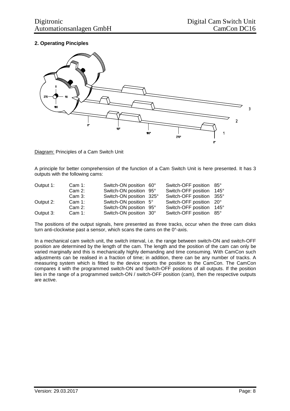#### **2. Operating Pinciples**



Diagram: Principles of a Cam Switch Unit

A principle for better comprehension of the function of a Cam Switch Unit is here presented. It has 3 outputs with the following cams:

| Output 1: | Cam $1$ : | Switch-ON position 60°  | Switch-OFF position 85° |              |
|-----------|-----------|-------------------------|-------------------------|--------------|
|           | Cam 2:    | Switch-ON position 95°  | Switch-OFF position     | $145^\circ$  |
|           | Cam 3:    | Switch-ON position 325° | Switch-OFF position     | $355^\circ$  |
| Output 2: | Cam $1$ : | Switch-ON position 5°   | Switch-OFF position     | $20^{\circ}$ |
|           | Cam 2:    | Switch-ON position 95°  | Switch-OFF position     | $145^\circ$  |
| Output 3: | Cam $1$ : | Switch-ON position 30°  | Switch-OFF position     | $85^\circ$   |

The positions of the output signals, here presented as three tracks, occur when the three cam disks turn anti-clockwise past a sensor, which scans the cams on the 0°-axis.

In a mechanical cam switch unit, the switch interval, i.e. the range between switch-ON and switch-OFF position are determined by the length of the cam. The length and the position of the cam can only be varied marginally and this is mechanically highly demanding and time consuming. With CamCon such adjustments can be realised in a fraction of time; in addition, there can be any number of tracks. A measuring system which is fitted to the device reports the position to the CamCon. The CamCon compares it with the programmed switch-ON and Switch-OFF positions of all outputs. If the position lies in the range of a programmed switch-ON / switch-OFF position (cam), then the respective outputs are active.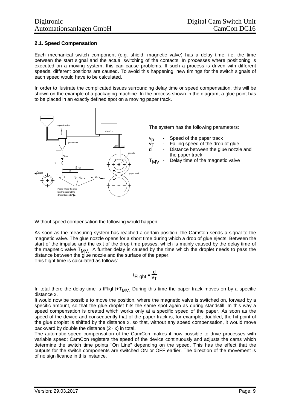#### **2.1. Speed Compensation**

Each mechanical switch component (e.g. shield, magnetic valve) has a delay time, i.e. the time between the start signal and the actual switching of the contacts. In processes where positioning is executed on a moving system, this can cause problems. If such a process is driven with different speeds, different positions are caused. To avoid this happening, new timings for the switch signals of each speed would have to be calculated.

In order to ilustrate the complicated issues surrounding delay time or speed compensation, this will be shown on the example of a packaging machine. In the process shown in the diagram, a glue point has to be placed in an exactly defined spot on a moving paper track.



The system has the following parameters:

- vp Speed of the paper track
	- Falling speed of the drop of glue
	- Distance between the glue nozzle and the paper track
- $T_{MV}$  Delay time of the magnetic valve

Without speed compensation the following would happen:

As soon as the measuring system has reached a certain position, the CamCon sends a signal to the magnetic valve. The glue nozzle opens for a short time during which a drop of glue ejects. Between the start of the impulse and the exit of the drop time passes, which is mainly caused by the delay time of the magnetic valve  $T_{MV}$ . A further delay is caused by the time which the droplet needs to pass the distance between the glue nozzle and the surface of the paper. This flight time is calculated as follows:

$$
t_{\text{Flight}} = \frac{d}{v_{\text{T}}}
$$

In total there the delay time is tFlight+T<sub>MV.</sub> During this time the paper track moves on by a specific distance x.

It would now be possible to move the position, where the magnetic valve is switched on, forward by a specific amount, so that the glue droplet hits the same spot again as during standstill. In this way a speed compensation is created which works only at a specific speed of the paper. As soon as the speed of the device and consequently that of the paper track is, for example, doubled, the hit point of the glue droplet is shifted by the distance x, so that, without any speed compensation, it would move backward by double the distance  $(2 \cdot x)$  in total.

The automatic speed compensation of the CamCon makes it now possible to drive processes with variable speed; CamCon registers the speed of the device continuously and adjusts the cams which determine the switch time points "On Line" depending on the speed. This has the effect that the outputs for the switch components are switched ON or OFF earlier. The direction of the movement is of no significance in this instance.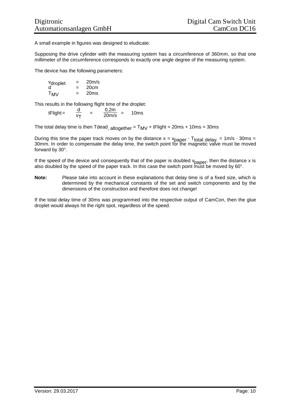A small example in figures was designed to eludicate:

Supposing the drive cylinder with the measuring system has a circumference of 360mm, so that one millimeter of the circumference corresponds to exactly one angle degree of the measuring system.

The device has the following parameters:

vdroplet = 20m/s d = 20cm TMV = 20ms

This results in the following flight time of the droplet:

 $t$ Flight =  $rac{d}{v_T}$  $=\frac{0,2m}{20m/s}$  = 10ms

The total delay time is then Tdead,  $\frac{1}{\text{alto}}$  attorether = T<sub>MV</sub> + tFlight = 20ms + 10ms = 30ms

During this time the paper track moves on by the distance  $x = v_{paper} \cdot T_{total}$  delay. = 1m/s  $\cdot$  30ms = 30mm. In order to compensate the delay time, the switch point for the magnetic valve must be moved forward by 30°.

If the speed of the device and consequently that of the paper is doubled v<sub>paper</sub>, then the distance x is also doubled by the speed of the paper track. In this case the switch point must be moved by 60°.

**Note:** Please take into account in these explanations that delay time is of a fixed size, which is determined by the mechanical constants of the set and switch components and by the dimensions of the construction and therefore does not change!

If the total delay time of 30ms was programmed into the respective output of CamCon, then the glue droplet would always hit the right spot, regardless of the speed.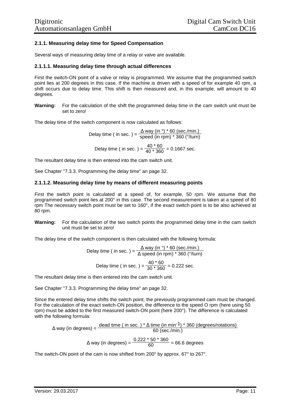#### **2.1.1. Measuring delay time for Speed Compensation**

Several ways of measuring delay time of a relay or valve are available.

#### **2.1.1.1. Measuring delay time through actual differences**

First the switch-ON point of a valve or relay is programmed. We assume that the programmed switch point lies at 200 degrees in this case. If the machine is driven with a speed of for example 40 rpm, a shift occurs due to delay time. This shift is then measured and, in this example, will amount to 40 degrees.

**Warning:** For the calculation of the shift the programmed delay time in the cam switch unit must be set to zero!

The delay time of the switch component is now calculated as follows:

Delay time ( in sec. ) =  $\frac{\Delta$  way (in °) \* 60 (sec./min.)<br>Delay time ( in sec. ) =  $\frac{\Delta$  way (in rpm) \* 360 (°/turn) speed (in rpm) \* 360 (°/turn) Delay time ( in sec. ) =  $\frac{40 * 60}{40 * 360}$  = 0.1667 sec.

The resultant delay time is then entered into the cam switch unit.

See Chapter "7.3.3. Programming the delay time" an page 32.

#### **2.1.1.2. Measuring delay time by means of different measuring points**

First the switch point is calculated at a speed of, for example, 50 rpm. We assume that the programmed switch point lies at 200° in this case. The second measurement is taken at a speed of 80 rpm The necessary switch point must be set to 160°, if the exact switch point is to be also achieved at 80 rpm.

**Warning:** For the calculation of the two switch points the programmed delay time in the cam switch unit must be set to zero!

The delay time of the switch component is then calculated with the following formula:

Delay time ( in sec. ) = 
$$
\frac{\Delta
$$
 way (in °) \* 60 (sec./min.)  
\nDelay time ( in sec. ) =  $\frac{40 * 60}{30 * 360} = 0.222$  sec.

The resultant delay time is then entered into the cam switch unit.

See Chapter "7.3.3. Programming the delay time" an page 32.

Since the entered delay time shifts the switch point, the previously programmed cam must be changed. For the calculation of the exact switch-ON position, the difference to the speed O rpm (here using 50 rpm) must be added to the first measured switch-ON point (here 200°). The difference is calculated with the following formula:

$$
\Delta \text{ way (in degrees)} = \frac{\text{dead time (in sec.)} * \Delta \text{ time (in min}^{-1}) * 360 \text{ (degrees/rotations)}}{60 \text{ (sec./min.)}}
$$

$$
\Delta \text{ way (in degrees)} = \frac{0.222 * 50 * 360}{60} = 66.6 \text{ degrees}
$$

The switch-ON point of the cam is now shifted from 200° by approx. 67° to 267°.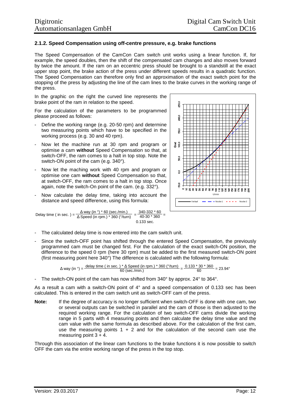#### **2.1.2. Speed Compensation using off-centre pressure, e.g. brake functions**

The Speed Compensation of the CamCon Cam switch unit works using a linear function. If, for example, the speed doubles, then the shift of the compensated cam changes and also moves forward by twice the amount. If the ram on an eccentric press should be brought to a standstill at the exact upper stop point, the brake action of the press under different speeds results in a quadratic function. The Speed Compensation can therefore only find an approximation of the exact switch point for the stopping of the press by adjusting the line of the cam lines to the brake curves in the working range of the press.

In the graphic on the right the curved line represents the brake point of the ram in relation to the speed.

For the calculation of the parameters to be programmed please proceed as follows:

- Define the working range (e.g. 20-50 rpm) and determine two measuring points which have to be specified in the working process (e.g. 30 and 40 rpm).
- Now let the machine run at 30 rpm and program or optimise a cam **without** Speed Compensation so that, at switch-OFF, the ram comes to a halt in top stop. Note the switch-ON point of the cam (e.g. 340°).
- Now let the maching work with 40 rpm and program or optimise one cam **without** Speed Compensation so that, at switch-OFF, the ram comes to a halt in top stop. Once again, note the switch-On point of the cam. (e.g. 332°).
- Now calculate the delay time, taking into account the distance and speed difference, using this formula:

Delay time ( in sec. ) =  $\frac{1}{\Delta} \frac{\text{way}}{\text{speed (in rpm.)}}$  \* 360 (°/turn) = Δ way (in °) \* 60 (sec./min.)  $\frac{340-332 \times 60}{222}$  =  $40-30 * 360$ 0.133 sec.



Since the switch-OFF point has shifted through the entered Speed Compensation, the previously programmed cam must be changed first. For the calculation of the exact switch-ON position, the difference to the speed 0 rpm (here 30 rpm) must be added to the first measured switch-ON point (first measuring point here 340°) The difference is calculated with the following formula:

$$
\Delta \text{ way (in °)} = \frac{\text{delay time ( in sec. ) * } \Delta \text{ Speed (in rpm.) * 360 (°/turn)}}{60 \text{ (sec./min.)}} = \frac{0.133 * 30 * 360}{60} = 23.94^{\circ}
$$

The switch-ON point of the cam has now shifted from 340° by approx. 24° to 364°.

As a result a cam with a switch-ON point of 4° and a speed compensation of 0.133 sec has been calculated. This is entered in the cam switch unit as switch-OFF cam of the press.

**Note:** If the degree of accuracy is no longer sufficient when switch-OFF is done with one cam, two or several outputs can be switched in parallel and the cam of those is then adjusted to the required working range. For the calculation of two switch-OFF cams divide the working range in 5 parts with 4 measuring points and then calculate the delay time value and the cam value with the same formula as described above. For the calculation of the first cam, use the measuring points  $1 + 2$  and for the calculation of the second cam use the measuring point  $3 + 4$ .

Through this association of the linear cam functions to the brake functions it is now possible to switch OFF the cam via the entire working range of the press in the top stop.

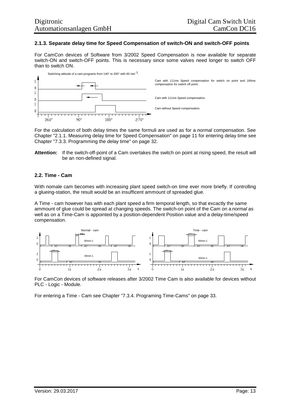#### **2.1.3. Separate delay time for Speed Compensation of switch-ON and switch-OFF points**

For CamCon devices of Software from 3/2002 Speed Compensation is now available for separate switch-ON and switch-OFF points. This is necessary since some valves need longer to switch OFF than to switch ON.



For the calculation of both delay times the same formuli are used as for a *normal* compensation. See Chapter "2.1.1. Measuring delay time for Speed Compensation" on page 11 for entering delay time see Chapter "7.3.3. Programming the delay time" on page 32.

**Attention:** If the switch-off-point of a Cam overtakes the switch on point at rising speed, the result will be an non-defined signal.

#### **2.2. Time - Cam**

With nomale cam becomes with increasing plant speed switch-on time ever more briefly. If controlling a glueing-station, the result would be an insufficent ammount of spreaded glue.

A Time - cam however has with each plant speed a firm temporal length, so that excactly the same ammount of glue could be spread at changing speeds. The switch-on point of the Cam on a *normal* as well as on a Time-Cam is appointed by a position-dependent Position value and a delay-time/speed compensation.



For CamCon devices of software releases after 3/2002 Time Cam is also available for devices without PLC - Logic - Module.

For entering a Time - Cam see Chapter "7.3.4. Programing Time-Cams" on page 33.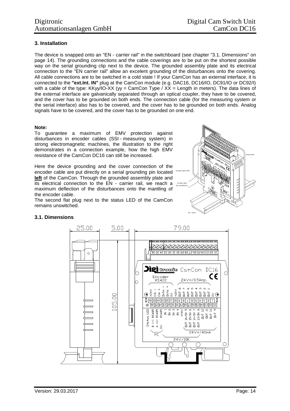#### **3. Installation**

The device is snapped onto an "EN - carrier rail" in the switchboard (see chapter "3.1. Dimensions" on page 14). The grounding connections and the cable coverings are to be put on the shortest possible way on the serial grounding clip next to the device. The grounded assembly plate and its electrical connection to the "EN carrier rail" allow an excelent grounding of the disturbances onto the covering. All cable connections are to be switched in a cold state ! If your CamCon has an external interface, it is connected to the **"ext.Int. IN"** plug at the CamCon module (e.g. DAC16, DC16/IO, DC91/IO or DC92/I) with a cable of the type: KKyy/IO-XX (yy = CamCon Type /  $X\bar{X}$  = Length in meters). The data lines of the external interface are galvanically separated through an optical coupler, they have to be covered, and the cover has to be grounded on both ends. The connection cable (for the measuring system or the serial interface) also has to be covered, and the cover has to be grounded on both ends. Analog signals have to be covered, and the cover has to be grounded on one end.

#### **Note:**

To guarantee a maximum of EMV protection against disturbances in encoder cables (SSI - measuring system) in strong electromagnetic machines, the illustration to the right demonstrates in a connection example, how the high EMV resistance of the CamCon DC16 can still be increased.

Here the device grounding and the cover connection of the encoder cable are put directly on a serial grounding pin located **left** of the CamCon. Through the grounded assembly plate and its electrical connection to the EN - carrier rail, we reach a maximum deflection of the disturbances onto the mantling of the encoder cable.

The second flat plug next to the status LED of the CamCon remains unswitched.



#### **3.1. Dimensions**

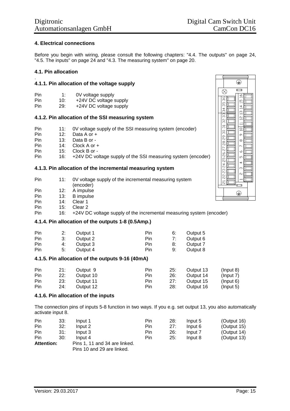#### **4. Electrical connections**

Before you begin with wiring, please consult the following chapters: "4.4. The outputs" on page 24, "4.5. The inputs" on page 24 and "4.3. The measuring system" on page 20.

#### **4.1. Pin allocation**

#### . **4.1.1. Pin allocation of the voltage supply**

| Pin | 1:  | 0V voltage supply    |
|-----|-----|----------------------|
| Din | 1Λ۰ | LOAV DC voltage supr |

Pin 10: +24V DC voltage supply<br>Pin 29: +24V DC voltage supply 29: +24V DC voltage supply

#### **4.1.2. Pin allocation of the SSI measuring system**

- Pin 11: 0V voltage supply of the SSI measuring system (encoder)
- Pin 12: Data A or +
- Pin 13: Data B or -
- Pin 14: Clock A or +
- Pin 15: Clock B or -
- Pin 16: +24V DC voltage supply of the SSI measuring system (encoder)

#### **4.1.3. Pin allocation of the incremental measuring system**

- Pin 11: 0V voltage supply of the incremental measuring system (encoder)
- Pin 12: A impulse
- Pin 13: B impulse
- Pin 14: Clear 1
- Pin 15: Clear 2

Pin 16: +24V DC voltage supply of the incremental measuring system (encoder)

#### **4.1.4. Pin allocation of the outputs 1-8 (0.5Amp.)**

| Pin |    | Output 1 | Pin | 6: | Output 5 |
|-----|----|----------|-----|----|----------|
| Pin | 3: | Output 2 | Pin |    | Output 6 |
| Pin | 4: | Output 3 | Pin |    | Output 7 |
| Pin | 5: | Output 4 | Pin | 9: | Output 8 |

#### **4.1.5. Pin allocation of the outputs 9-16 (40mA)**

| Pin        | 21: | Output 9  | Pin | 25: | Output 13 | $($ lnput 8)    |
|------------|-----|-----------|-----|-----|-----------|-----------------|
| <b>Pin</b> | 22: | Output 10 | Pin | 26: | Output 14 | (Input $7$ )    |
| Pin        | 23: | Output 11 | Pin | 27: | Output 15 | $($ lnput 6)    |
| Pin        | 24: | Output 12 | Pin | 28: | Output 16 | $($ lnput 5 $)$ |

#### **4.1.6. Pin allocation of the inputs**

The connection pins of inputs 5-8 function in two ways. If you e.g. set output 13, you also automatically activate input 8.

| Pin               | 33: | Input 1                       | Pin        | 28: | Input 5 | (Output 16)    |
|-------------------|-----|-------------------------------|------------|-----|---------|----------------|
| Pin               | 32: | Input 2                       | Pin        | 27: | Input 6 | (Output $15$ ) |
| Pin               | 31: | Input 3                       | <b>Pin</b> | 26: | Input 7 | (Output $14$ ) |
| Pin               | 30: | Input 4                       | Pin        | 25: | Input 8 | (Output 13)    |
| <b>Attention:</b> |     | Pins 1, 11 and 34 are linked. |            |     |         |                |
|                   |     | Pins 10 and 29 are linked.    |            |     |         |                |

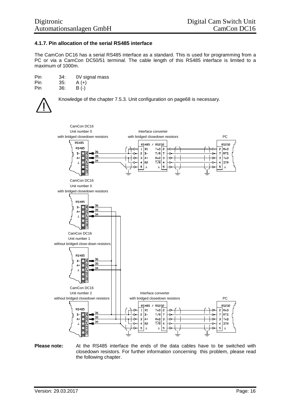#### **4.1.7. Pin allocation of the serial RS485 interface**

The CamCon DC16 has a serial RS485 interface as a standard. This is used for programming from a PC or via a CamCon DC50/51 terminal. The cable length of this RS485 interface is limited to a maximum of 1000m.

| Pin | 34: | 0V signal mass |
|-----|-----|----------------|
| Pin | 35: | $A (+)$        |
| Pin | 36: | $B(-)$         |



Knowledge of the chapter 7.5.3. Unit configuration on page68 is necessary.



**Please note:** At the RS485 interface the ends of the data cables have to be switched with closedown resistors. For further information concerning this problem, please read the following chapter.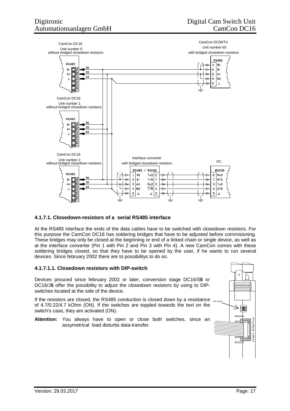

#### **4.1.7.1. Closedown-resistors of a serial RS485 interface**

At the RS485 interface the ends of the data cables have to be switched with closedown resistors. For this purpose the CamCon DC16 has soldering bridges that have to be adjusted before commisioning. These bridges may only be closed at the beginning or end of a linked chain or single device, as well as at the interface converter (Pin 1 with Pin 2 and Pin 3 with Pin 4). A new CamCon comes with these soldering bridges closed, so that they have to be opened by the user, if he wants to run several devices. Since february 2002 there are to possibilitys to do so.

#### **4.1.7.1.1. Closedown resistors with DIP-switch**

Devices prouced since february 2002 or later, conversion stage DC16/S**5** or DC16/J5 offer the possibility to adjust the closedown resistors by using to DIPswitches located at the side of the device.

If the resistors are closed, the RS485 conduction is closed down by a resistance  $\frac{D}{D}$  pussing of 4.7/0.22/4.7 kOhm (ON). If the switches are toppled towards the text on the switch's case, they are activated (ON).

**Attention:** You always have to open or close both switches, since an assymetrical load disturbs data-transfer.

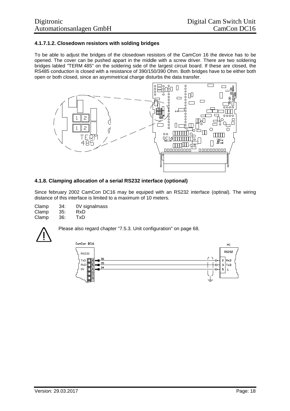#### **4.1.7.1.2. Closedown resistors with solding bridges**

To be able to adjust the bridges of the closedown resistors of the CamCon 16 the device has to be opened. The cover can be pushed appart in the middle with a screw driver. There are two soldering bridges labled "TERM 485" on the soldering side of the largest circuit board. If these are closed, the RS485 conduction is closed with a resistance of 390/150/390 Ohm. Both bridges have to be either both open or both closed, since an asymmetrical charge disturbs the data transfer.



#### **4.1.8. Clamping allocation of a serial RS232 interface (optional)**

Since february 2002 CamCon DC16 may be equiped with an RS232 interface (optinal). The wiring distance of this interface is limited to a maximum of 10 meters.

| Clamp | 34: | 0V signalmass |
|-------|-----|---------------|
| Clamp | 35: | RxD           |
| Clamp | 36: | TxD           |



Please also regard chapter "7.5.3. Unit configuration" on page 68.

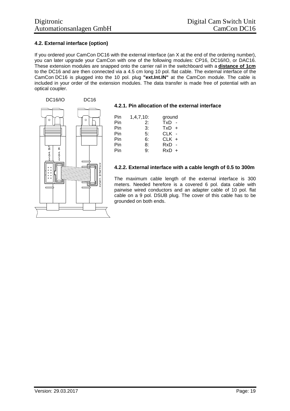#### **4.2. External interface (option)**

If you ordered your CamCon DC16 with the external interface (an X at the end of the ordering number), you can later upgrade your CamCon with one of the following modules: CP16, DC16/IO, or DAC16. These extension modules are snapped onto the carrier rail in the switchboard with a **distance of 1cm** to the DC16 and are then connected via a 4.5 cm long 10 pol. flat cable. The external interface of the CamCon DC16 is plugged into the 10 pol. plug **"ext.Int.IN"** at the CamCon module. The cable is included in your order of the extension modules. The data transfer is made free of potential with an optical coupler.



#### **4.2.1. Pin allocation of the external interface**

| Pin | $1,4,7,10$ : | ground  |
|-----|--------------|---------|
| Pin | 2:           | TxD -   |
| Pin | 3:           | $TxD +$ |
| Pin | 5:           | CLK -   |
| Pin | 6:           | CLK +   |
| Pin | 8:           | RxD -   |
| Pin | ġ۰           | $RxD +$ |
|     |              |         |

#### **4.2.2. External interface with a cable length of 0.5 to 300m**

The maximum cable length of the external interface is 300 meters. Needed herefore is a covered 6 pol. data cable with pairwise wired conductors and an adapter cable of 10 pol. flat cable on a 9 pol. DSUB plug. The cover of this cable has to be grounded on both ends.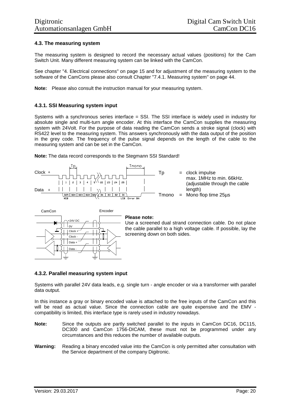#### **4.3. The measuring system**

The measuring system is designed to record the necessary actual values (positions) for the Cam Switch Unit. Many different measuring system can be linked with the CamCon.

See chapter "4. Electrical connections" on page 15 and for adjustment of the measuring system to the software of the CamCons please also consult Chapter "7.4.1. Measuring system" on page 44.

**Note:** Please also consult the instruction manual for your measuring system.

#### **4.3.1. SSI Measuring system input**

Systems with a synchronous series interface = SSI. The SSI interface is widely used in industry for absolute single and multi-turn angle encoder. At this interface the CamCon supplies the measuring system with 24Volt. For the purpose of data reading the CamCon sends a stroke signal (clock) with RS422 level to the measuring system. This answers synchronously with the data output of the position in the grey code. The frequency of the pulse signal depends on the length of the cable to the measuring system and can be set in the CamCon.



**Note:** The data record corresponds to the Stegmann SSI Standard!



#### **Please note:**

Use a screened dual strand connection cable. Do not place the cable parallel to a high voltage cable. If possible, lay the screening down on both sides.

#### **4.3.2. Parallel measuring system input**

Systems with parallel 24V data leads, e.g. single turn - angle encoder or via a transformer with parallel data output.

In this instance a gray or binary encoded value is attached to the free inputs of the CamCon and this will be read as actual value. Since the connection cable are quite expensive and the EMV compatibility is limited, this interface type is rarely used in industry nowadays.

- **Note:** Since the outputs are partly switched parallel to the inputs in CamCon DC16, DC115, DC300 and CamCon 1756-DICAM, these must not be programmed under any circumstances and this reduces the number of available outputs.
- **Warning:** Reading a binary encoded value into the CamCon is only permitted after consultation with the Service department of the company Digitronic.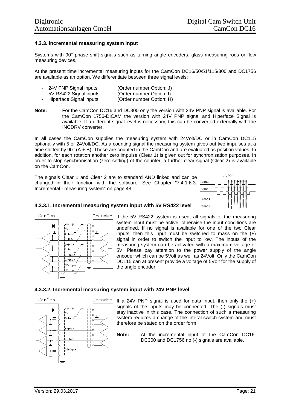#### **4.3.3. Incremental measuring system input**

Systems with 90° phase shift signals such as turning angle encoders, glass measuring rods or flow measuring devices.

At the present time incremental measuring inputs for the CamCon DC16/50/51/115/300 and DC1756 are available as an option. We differentiate between three signal levels:

- 24V PNP Signal inputs (Order number Option: J)
- 5V RS422 Signal inputs (Order number Option: I)<br>- Hiperface Signal inputs (Order number Option: H)
- Hiperface Signal inputs
- **Note:** For the CamCon DC16 and DC300 only the version with 24V PNP signal is available. For the CamCon 1756-DICAM the version with 24V PNP signal and Hiperface Signal is available. If a different signal level is necessary, this can be converted externally with the INCDRV converter.

In all cases the CamCon supplies the measuring system with 24Volt/DC or in CamCon DC115 optionally with 5 or 24Volt/DC. As a counting signal the measuring system gives out two impulses at a time shifted by 90° (A + B). These are counted in the CamCon and are evaluated as position values. In addition, for each rotation another zero impulse (Clear 1) is given out for synchronisation purposes. In order to stop synchronisation (zero setting) of the counter, a further clear signal (Clear 2) is available on the CamCon.

The signals Clear 1 and Clear 2 are to standard AND linked and can be changed in their function with the software. See Chapter "7.4.1.6.3. Almp. Incremental - measuring system" on page 48



#### **4.3.3.1. Incremental measuring system input with 5V RS422 level**



Encoder If the 5V RS422 system is used, all signals of the measuring system input must be active, otherwise the input conditions are undefined. If no signal is available for one of the two Clear inputs, then this input must be switched to mass on the  $(+)$ signal in order to switch the input to low. The inputs of the measuring system can be activated with a maximum voltage of 5V. Please pay attention to the power supply of the angle encoder which can be 5Volt as well as 24Volt. Only the CamCon DC115 can at present provide a voltage of 5Volt for the supply of the angle encoder.

#### **4.3.3.2. Incremental measuring system input with 24V PNP level**



If a 24V PNP signal is used for data input, then only the (+) signals of the inputs may be connected. The (-) signals must stay inactive in this case. The connection of such a measuring system requires a change of the interal switch system and must therefore be stated on the order form.

**Note:** At the incremental input of the CamCon DC16, DC300 and DC1756 no (-) signals are available.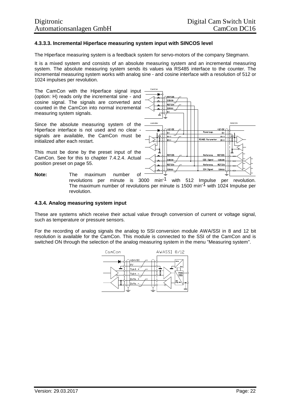#### **4.3.3.3. Incremental Hiperface measuring system input with SINCOS level**

The Hiperface measuring system is a feedback system for servo-motors of the company Stegmann.

It is a mixed system and consists of an absolute measuring system and an incremental measuring system. The absolute measuring system sends its values via RS485 interface to the counter. The incremental measuring system works with analog sine - and cosine interface with a resolution of 512 or 1024 impulses per revolution.

The CamCon with the Hiperface signal input (option: H) reads only the incremental sine - and cosine signal. The signals are converted and counted in the CamCon into normal incremental measuring system signals.

Since the absolute measuring system of the Hiperface interface is not used and no clear signals are available, the CamCon must be initialized after each restart.

This must be done by the preset input of the CamCon. See for this to chapter 7.4.2.4. Actual position preset on page 55.



revolutions per minute is 3000 min-1 with 512 Impulse per revolution. The maximum number of revolutions per minute is 1500 min<sup>-1</sup> with 1024 Impulse per revolution.

#### **4.3.4. Analog measuring system input**

These are systems which receive their actual value through conversion of current or voltage signal, such as temperature or pressure sensors.

For the recording of analog signals the analog to SSI conversion module AWA/SSI in 8 and 12 bit resolution is available for the CamCon. This module is connected to the SSI of the CamCon and is switched ON through the selection of the analog measuring system in the menu "Measuring system".

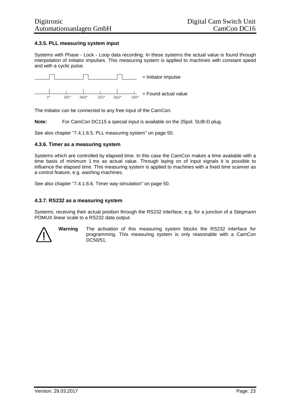#### **4.3.5. PLL measuring system input**

Systems with Phase - Lock - Loop data recording. In these systems the actual value is found through interpolation of initiator impulses. This measuring system is applied to machines with constant speed and with a cyclic pulse.



The Initiator can be connected to any free input of the CamCon.

**Note:** For CamCon DC115 a special input is available on the 25pol. SUB-D plug.

See also chapter "7.4.1.6.5. PLL measuring system" on page 50.

#### **4.3.6. Timer as a measuring system**

Systems which are controlled by elapsed time. In this case the CamCon makes a time available with a time basis of minimum 1 ms as actual value. Through laying on of input signals it is possible to influence the elapsed time. This measuring system is applied to machines with a fixed time scanner as a control feature, e.g. washing machines.

See also chapter "7.4.1.6.6. Timer way simulation" on page 50.

#### **4.3.7. RS232 as a measuring system**

Systems, receiving their actual position through the RS232 interface, e.g. for a junction of a Stegmann POMUX linear scale to a RS232 data output.



**Warning** The activation of this measuring system blocks the RS232 interface for programming. This measuring system is only reasonable with a CamCon DC50/51.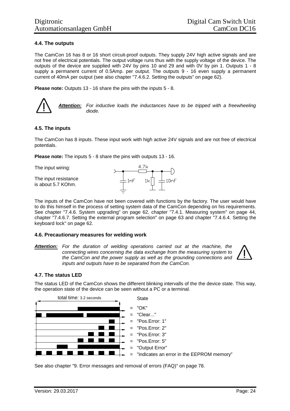#### **4.4. The outputs**

The CamCon 16 has 8 or 16 short circuit-proof outputs. They supply 24V high active signals and are not free of electrical potentials. The output voltage runs thus with the supply voltage of the device. The outputs of the device are supplied with 24V by pins 10 and 29 and with 0V by pin 1. Outputs 1 - 8 supply a permanent current of 0.5Amp. per output. The outputs 9 - 16 even supply a permanent current of 40mA per output (see also chapter "7.4.6.2. Setting the outputs" on page 62).

**Please note:** Outputs 13 - 16 share the pins with the inputs 5 - 8.

*Attention: For inductive loads the inductances have to be tripped with a freewheeling diode.*

#### **4.5. The inputs**

The CamCon has 8 inputs. These input work with high active 24V signals and are not free of electrical potentials.

**Please note:** The inputs 5 - 8 share the pins with outputs 13 - 16.

The input wiring: The input resistance  $-1nF$  $10nF$ is about 5.7 KOhm.

The inputs of the CamCon have not been covered with functions by the factory. The user would have to do this himself in the process of setting system data of the CamCon depending on his requirements. See chapter "7.4.6. System upgrading" on page 62, chapter "7.4.1. Measuring system" on page 44, chapter "7.4.6.7. Setting the external program selection" on page 63 and chapter "7.4.6.4. Setting the keyboard lock" on page 62.

#### **4.6. Precautionary measures for welding work**

*Attention: For the duration of welding operations carried out at the machine, the connecting wires concerning the data exchange from the measuring system to the CamCon and the power supply as well as the grounding connections and inputs and outputs have to be separated from the CamCon.*

#### **4.7. The status LED**

The status LED of the CamCon shows the different blinking intervalls of the the device state. This way, the operation state of the device can be seen without a PC or a terminal.



See also chapter "9. Error messages and removal of errors (FAQ)" on page 78.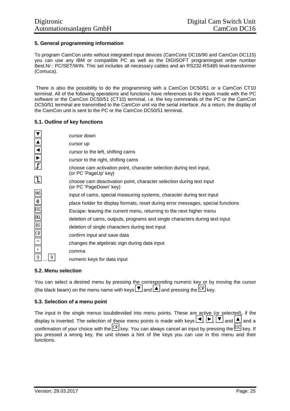#### **5. General programming information**

To program CamCon units without integrated input devices (CamCons DC16/90 and CamCon DC115) you can use any IBM or compatible PC as well as the DIGISOFT programingset order number Best.Nr.: PC/SET/WIN. This set includes all necessary cables and an RS232-RS485 level-transformer (Comuca).

There is also the possibility to do the programming with a CamCon DC50/51 or a CamCon CT10 terminal. All of the following operations and functions have references to the inputs made with the PC software or the CamCon DC50/51 (CT10) terminal, i.e. the key commands of the PC or the CamCon DC50/51 terminal are transmitted to the CamCon unit via the serial interface. As a return, the display of the CamCon unit is sent to the PC or the CamCon DC50/51 terminal.

#### **5.1. Outline of key functions**

| $\overline{\mathbf{r}}$ | cursor down                                                                                    |
|-------------------------|------------------------------------------------------------------------------------------------|
| $\blacktriangle$        | cursor up                                                                                      |
| $\frac{1}{\sqrt{2}}$    | cursor to the left, shifting cams                                                              |
|                         | cursor to the right, shifting cams                                                             |
| $\mathbf{I}$            | choose cam activation point, character selection during text input,<br>(or PC 'PageUp' key)    |
| Ιl                      | choose cam deactivation point, character selection during text input<br>(or PC 'PageDown' key) |
| <b>INS</b>              | input of cams, special measuring systems, character during text input                          |
| $\frac{1}{1}$           | place holder for display formats, reset during error messages, special functions               |
| ESC                     | Escape: leaving the current menu, returning to the next higher menu                            |
| DEL                     | deletion of cams, outputs, programs and single characters during text input                    |
| BS                      | deletion of single characters during text input                                                |
| CR                      | confirm input and save data                                                                    |
|                         | changes the algebraic sign during data input                                                   |
| -2                      | comma                                                                                          |
| 9<br>-0                 | numeric keys for data input                                                                    |

#### **5.2. Menu selection**

You can select a desired menu by pressing the corresponding numeric key or by moving the cursor (the black beam) on the menu name with keys  $\boxed{\bullet}$  and  $\boxed{\triangle}$  and pressing the  $\boxed{\text{CR}}$  key.

#### **5.3. Selection of a menu point**

The input in the single menus issubdevided into menu points. These are active (or selected), if the display is inverted. The selection of these menu points is made with keys  $\boxed{\blacktriangle}$ ,  $\boxed{\blacktriangleright}$ ,  $\boxed{\blacktriangleright}$  and  $\boxed{\blacktriangle}$  and a confirmation of your choice with the  $\frac{[CR]}{[ER]}$  key. You can always cancel an input by pressing the  $\frac{[ESC]}{[ER]}$  key. If you pressed a wrong key, the unit shows a hint of the keys you can use in this menu and their functions.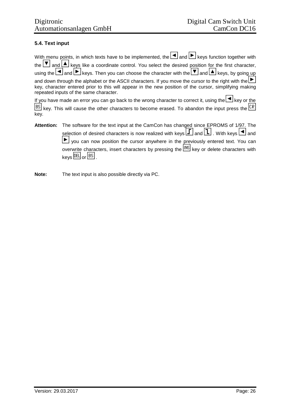#### **5.4. Text input**

|                                        | With menu points, in which texts have to be implemented, the $\Box$ and $\Box$ keys function together with                                                                                                                          |
|----------------------------------------|-------------------------------------------------------------------------------------------------------------------------------------------------------------------------------------------------------------------------------------|
|                                        | the $\boxed{\blacktriangledown}$ and $\boxed{\blacktriangle}$ keys like a coordinate control. You select the desired position for the first character,                                                                              |
|                                        | using the $\Box$ and $\Box$ keys. Then you can choose the character with the $\Box$ and $\Box$ keys, by going up                                                                                                                    |
| repeated inputs of the same character. | and down through the alphabet or the ASCII characters. If you move the cursor to the right with the<br>key, character entered prior to this will appear in the new position of the cursor, simplifying making                       |
| key.                                   | If you have made an error you can go back to the wrong character to correct it, using the $\Box$ key or the<br>$\boxed{BS}$ key. This will cause the other characters to become erased. To abandon the input press the $\boxed{CR}$ |
| <b>Attention:</b>                      | The software for the text input at the CamCon has changed since EPROMS of 1/97. The                                                                                                                                                 |
|                                        | selection of desired characters is now realized with keys $\boxed{\underline{I}}$ and $\boxed{\underline{I}}$ . With keys $\boxed{\blacktriangle}$ and                                                                              |
|                                        | $\blacktriangleright$ you can now position the cursor anywhere in the previously entered text. You can                                                                                                                              |
|                                        | overwrite characters, insert characters by pressing the <b>INS</b> key or delete characters with                                                                                                                                    |

**Note:** The text input is also possible directly via PC.

 $keys$   $E$  or  $ES$ .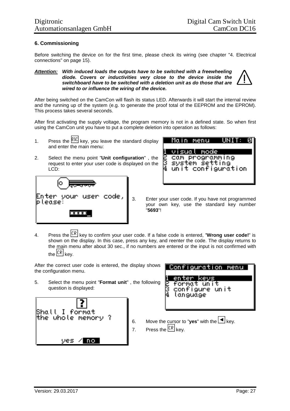#### **6. Commissioning**

Before switching the device on for the first time, please check its wiring (see chapter "4. Electrical connections" on page 15).

#### *Attention: With induced loads the outputs have to be switched with a freewheeling diode. Covers or inductivities very close to the device inside the switchboard have to be switched with a deletion unit as do those that are wired to or influence the wiring of the device.*

After being switched on the CamCon will flash its status LED. Afterwards it will start the internal review and the running up of the system (e.g. to generate the proof total of the EEPROM and the EPROM). This process takes several seconds.

After first activating the supply voltage, the program memory is not in a defined state. So when first using the CamCon unit you have to put a complete deletion into operation as follows:

- 1. Press the  $\sqrt{ESC}$  key, you leave the standard display and enter the main menu:
- 2. Select the menu point "**Unit configuration**" , the request to enter your user code is displayed on the LCD:





3. Enter your user code. If you have not programmed your own key, use the standard key number "**5693**"!

4. Press the key to confirm your user code. If a false code is entered, "**Wrong user code!**" is shown on the display. In this case, press any key, and reenter the code. The display returns to the main menu after about 30 sec., if no numbers are entered or the input is not confirmed with the  $\mathbb{R}$  key.

After the correct user code is entered, the display shows the configuration menu.

5. Select the menu point "**Format unit**" , the following question is displayed:





- 6. Move the cursor to "**yes**" with the  $\frac{4}{3}$  key.
- 7. Press the  $\mathbb{CR}$  key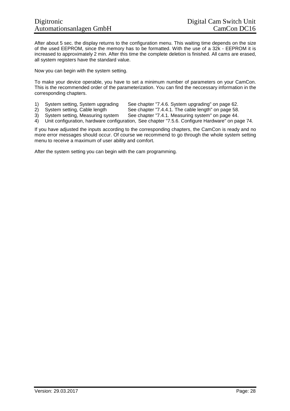After about 5 sec. the display returns to the configuration menu. This waiting time depends on the size of the used EEPROM, since the memory has to be formatted. With the use of a 32k - EEPROM it is increased to approximately 2 min. After this time the complete deletion is finished. All cams are erased, all system registers have the standard value.

Now you can begin with the system setting.

To make your device operable, you have to set a minimum number of parameters on your CamCon. This is the recommended order of the parameterization. You can find the neccessary information in the corresponding chapters.

- 1) System setting, System upgrading See chapter "7.4.6. System upgrading" on page 62.
- 2) System setting, Cable length See chapter "7.4.4.1. The cable length" on page 58.<br>3) System setting, Measuring system See chapter "7.4.1. Measuring system" on page 44.
- 3) System setting, Measuring system See chapter "7.4.1. Measuring system" on page 44.
- 4) Unit configuration, hardware configuration, See chapter "7.5.6. Configure Hardware" on page 74.

If you have adjusted the inputs according to the corresponding chapters, the CamCon is ready and no more error messages should occur. Of course we recommend to go through the whole system setting menu to receive a maximum of user ability and comfort.

After the system setting you can begin with the cam programming.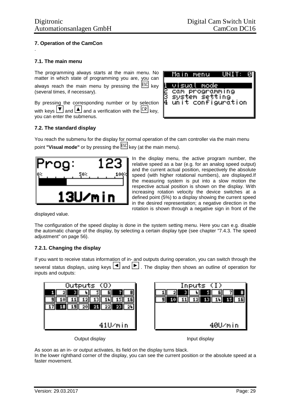#### **7. Operation of the CamCon** .

#### **7.1. The main menu**

The programming always starts at the main menu. No matter in which state of programming you are, you can always reach the main menu by pressing the  $ESC$  key (several times, if necessary).

By pressing the corresponding number or by selection with keys  $\boxed{\blacktriangledown}$  and  $\boxed{\blacktriangle}$  and a verification with the  $\boxed{\text{CR}}$  key, you can enter the submenus.



#### **7.2. The standard display**

You reach the submenu for the display for normal operation of the cam controller via the main menu point **"Visual mode"** or by pressing the **ESC** key (at the main menu).



In the display menu, the active program number, the relative speed as a bar (e.g. for an analog speed output) and the current actual position, respectively the absolute speed (with higher rotational numbers), are displayed.If the measuring system is put into a slow motion the respective actual position is shown on the display. With increasing rotation velocity the device switches at a defined point (5%) to a display showing the current speed in the desired representation; a negative direction in the rotation is shown through a negative sign in front of the

displayed value.

The configuration of the speed display is done in the system setting menu. Here you can e.g. disable the automatic change of the display, by selecting a certain display type (see chapter "7.4.3. The speed adjustment" on page 56).

#### **7.2.1. Changing the display**

If you want to receive status information of in- and outputs during operation, you can switch through the several status displays, using keys  $\Box$  and  $\Box$ . The display then shows an outline of operation for inputs and outputs:

| Outputs (O)                                      | Inputs $\langle I \rangle$                |
|--------------------------------------------------|-------------------------------------------|
| H<br>611<br>51<br>21                             | 21<br>٠.<br>о                             |
| 13 <br>tБı                                       | <b>13 I III</b><br>Æ<br><u>12  </u><br>91 |
| $21$ $22$<br>-2011<br>$-23$<br><b>19II</b><br>24 |                                           |
|                                                  |                                           |
|                                                  |                                           |
| 41U/min                                          | 40U/min                                   |

Output display **Input display** 

As soon as an in- or output activates, its field on the display turns black. In the lower righthand corner of the display, you can see the current position or the absolute speed at a faster movement.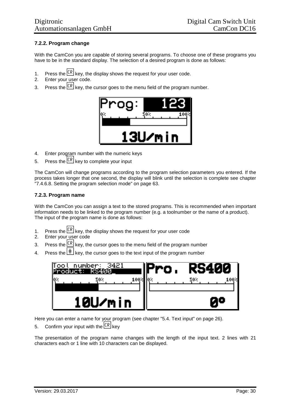#### **7.2.2. Program change**

With the CamCon you are capable of storing several programs. To choose one of these programs you have to be in the standard display. The selection of a desired program is done as follows:

- 1. Press the  $\mathcal{LR}$  key, the display shows the request for your user code.
- 2. Enter your user code.
- 3. Press the  $\mathbb{R}$  key, the cursor goes to the menu field of the program number.



- 4. Enter program number with the numeric keys
- 5. Press the  $\sqrt{CR}$  key to complete your input

The CamCon will change programs according to the program selection parameters you entered. If the process takes longer that one second, the display will blink until the selection is complete see chapter "7.4.6.8. Setting the program selection mode" on page 63.

#### **7.2.3. Program name**

With the CamCon you can assign a text to the stored programs. This is recommended when important information needs to be linked to the program number (e.g. a toolnumber or the name of a product). The input of the program name is done as follows:

- 1. Press the  $\frac{CR}{CR}$  key, the display shows the request for your user code
- 2. Enter your user code
- 3. Press the  $\frac{CR}{CR}$  key, the cursor goes to the menu field of the program number
- 4. Press the  $\left|\frac{\text{#}}{\text{}}\right|$  key, the cursor goes to the text input of the program number



Here you can enter a name for your program (see chapter "5.4. Text input" on page 26).

5. Confirm your input with the  $\overline{\text{CR}}$  kev

The presentation of the program name changes with the length of the input text. 2 lines with 21 characters each or 1 line with 10 characters can be displayed.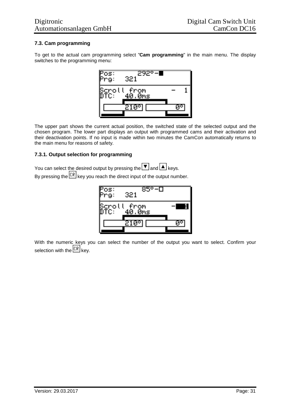#### **7.3. Cam programming**

To get to the actual cam programming select "**Cam programming**" in the main menu. The display switches to the programming menu:



The upper part shows the current actual position, the switched state of the selected output and the chosen program. The lower part displays an output with programmed cams and their activation and their deactivation points. If no input is made within two minutes the CamCon automatically returns to the main menu for reasons of safety.

#### **7.3.1. Output selection for programming**

You can select the desired output by pressing the  $\overline{\blacktriangledown}$  and  $\overline{\blacktriangle}$  keys. By pressing the  $\overline{\mathbb{CR}}$  key you reach the direct input of the output number.



With the numeric keys you can select the number of the output you want to select. Confirm your selection with the  $\overline{\mathbb{CR}}$  key.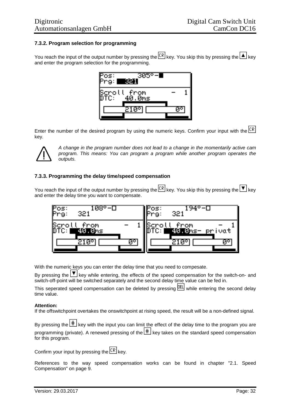#### **7.3.2. Program selection for programming**

You reach the input of the output number by pressing the  $\overline{\mathbb{CR}}$  key. You skip this by pressing the  $\blacktriangle$  key and enter the program selection for the programming.



Enter the number of the desired program by using the numeric keys. Confirm your input with the  $\sqrt{CR}$ key.



*A change in the program number does not lead to a change in the momentarily active cam program. This means: You can program a program while another program operates the outputs.*

#### **7.3.3. Programming the delay time/speed compensation**

You reach the input of the output number by pressing the  $\overline{{\mathbb{CP}}}$  key. You skip this by pressing the  $\overline{\blacktriangledown}$  key and enter the delay time you want to compensate.



With the numeric keys you can enter the delay time that you need to compesate.

By pressing the  $\mathbb{F}$  key while entering, the effects of the speed compensation for the switch-on- and switch-off-point will be switched separately and the second delay time value can be fed in.

This seperated speed compensation can be deleted by pressing **DEL** while entering the second delay time value.

#### **Attention:**

If the offswitchpoint overtakes the onswitchpoint at rising speed, the result will be a non-defined signal.

By pressing the  $\pm\pm$  key with the input you can limit the effect of the delay time to the program you are programming (private). A renewed pressing of the  $\pm$  key takes on the standard speed compensation for this program.

Confirm your input by pressing the  $\sqrt{\text{CR}}$  kev.

References to the way speed compensation works can be found in chapter "2.1. Speed Compensation" on page 9.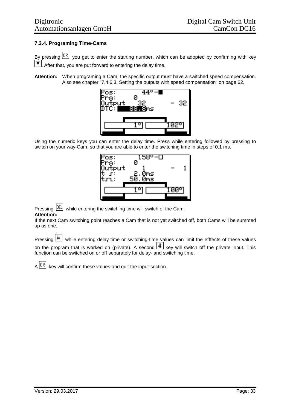#### **7.3.4. Programing Time-Cams**

By pressing  $\overline{\text{CR}}$  you get to enter the starting number, which can be adopted by confirming with key  $\blacktriangledown$ . After that, you are put forward to entering the delay time.

**Attention:** When programing a Cam, the specific output must have a switched speed compensation. Also see chapter "7.4.6.3. Setting the outputs with speed compensation" on page 62.



Using the numeric keys you can enter the delay time. Press while entering followed by pressing to switch on your way-Cam, so that you are able to enter the switching time in steps of 0.1 ms.



#### Pressing **DEL** while entering the switching time will switch of the Cam. **Attention:**

If the next Cam switching point reaches a Cam that is not yet switched off, both Cams will be summed up as one.

| Pressing $\lfloor \frac{\text{#}}{1} \rfloor$ while entering delay time or switching-time values can limit the efffects of these values |
|-----------------------------------------------------------------------------------------------------------------------------------------|
| on the program that is worked on (private). A second $\boxed{\text{#}}$ key will switch off the private input. This                     |
| function can be switched on or off separately for delay- and switching time.                                                            |

 $A$   $\overline{CR}$  key will confirm these values and quit the input-section.

 $\overline{a}$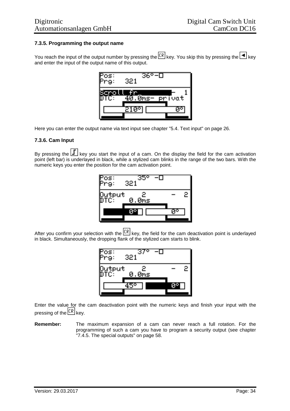#### **7.3.5. Programming the output name**

You reach the input of the output number by pressing the  $\overline{LR}$  key. You skip this by pressing the  $\blacksquare$  key and enter the input of the output name of this output.



Here you can enter the output name via text input see chapter "5.4. Text input" on page 26.

#### **7.3.6. Cam Input**

By pressing the  $L$  key you start the input of a cam. On the display the field for the cam activation point (left bar) is underlayed in black, while a stylized cam blinks in the range of the two bars. With the numeric keys you enter the position for the cam activation point.

| os:<br>Pra:   | Ο<br>35<br>321 |    |   |
|---------------|----------------|----|---|
| <b>Qutput</b> | 2<br>.Øms<br>Ø |    | 2 |
|               |                | 10 |   |

After you confirm your selection with the  $\mathbb{R}$  key, the field for the cam deactivation point is underlayed in black. Simultaneously, the dropping flank of the stylized cam starts to blink.



Enter the value for the cam deactivation point with the numeric keys and finish your input with the pressing of the  $\sqrt{CR}$  key.

**Remember:** The maximum expansion of a cam can never reach a full rotation. For the programming of such a cam you have to program a security output (see chapter "7.4.5. The special outputs" on page 58.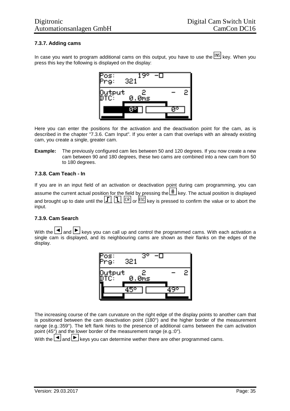#### **7.3.7. Adding cams**

In case you want to program additional cams on this output, you have to use the INS key. When you press this key the following is displayed on the display:



Here you can enter the positions for the activation and the deactivation point for the cam, as is described in the chapter "7.3.6. Cam Input". If you enter a cam that overlaps with an already existing cam, you create a single, greater cam.

**Example:** The previously configured cam lies between 50 and 120 degrees. If you now create a new cam between 90 and 180 degrees, these two cams are combined into a new cam from 50 to 180 degrees.

#### **7.3.8. Cam Teach - In**

If you are in an input field of an activation or deactivation point during cam programming, you can assume the current actual position for the field by pressing the  $\boxed{\text{#}}$  key. The actual position is displayed and brought up to date until the  $\boxed{1}$ ,  $\boxed{1}$ ,  $\boxed{CR}$  or  $\boxed{ESC}$  key is pressed to confirm the value or to abort the input.

#### **7.3.9. Cam Search**

With the  $\Box$  and  $\Box$  keys you can call up and control the programmed cams. With each activation a single cam is displayed, and its neighbouring cams are shown as their flanks on the edges of the display.



The increasing course of the cam curvature on the right edge of the display points to another cam that is positioned between the cam deactivation point (180°) and the higher border of the measurement range (e.g.:359°). The left flank hints to the presence of additional cams between the cam activation point (45°) and the lower border of the measurement range (e.g.:0°).

With the  $\Box$  and  $\Box$  keys you can determine wether there are other programmed cams.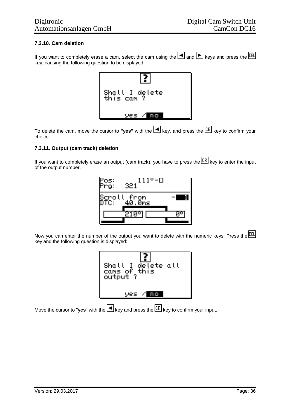#### **7.3.10. Cam deletion**

If you want to completely erase a cam, select the cam using the  $\Box$  and  $\Box$  keys and press the **DEL** key, causing the following question to be displayed:



To delete the cam, move the cursor to "**yes**" with the  $\Box$  key, and press the  $\Box$  key to confirm your choice.

#### **7.3.11. Output (cam track) deletion**

If you want to completely erase an output (cam track), you have to press the  $\overline{\mathbb{CR}}$  key to enter the input of the output number.



Now you can enter the number of the output you want to delete with the numeric keys. Press the DEL key and the following question is displayed:

| Shall I delete all<br>cams of this<br>output ? |  |
|------------------------------------------------|--|
| m                                              |  |

Move the cursor to "**yes**" with the  $\blacksquare$  key and press the  $\boxed{CR}$  key to confirm your input.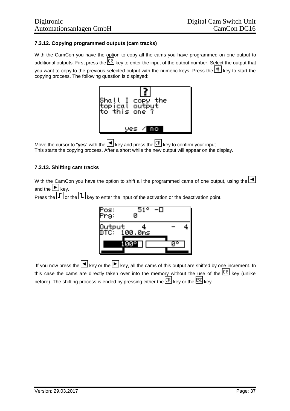# **7.3.12. Copying programmed outputs (cam tracks)**

With the CamCon you have the option to copy all the cams you have programmed on one output to additional outputs. First press the CR key to enter the input of the output number. Select the output that you want to copy to the previous selected output with the numeric keys. Press the  $\left|\frac{\text{#}}{\text{#}}\right|$  key to start the copying process. The following question is displayed:



Move the cursor to "**yes**" with the  $\blacksquare$  key and press the  $\boxed{CR}$  key to confirm your input. This starts the copying process. After a short while the new output will appear on the display.

## **7.3.13. Shifting cam tracks**

With the CamCon you have the option to shift all the programmed cams of one output, using the  $\Box$ and the  $\blacktriangleright$  key.

Press the  $\Box$  or the  $\Box$  key to enter the input of the activation or the deactivation point.



If you now press the  $\Box$  key or the  $\Box$  key, all the cams of this output are shifted by one increment. In this case the cams are directly taken over into the memory without the use of the  $\mathbb{R}$  key (unlike before). The shifting process is ended by pressing either the  $\mathsf{ER}$  key or the  $\mathsf{ESC}$  key.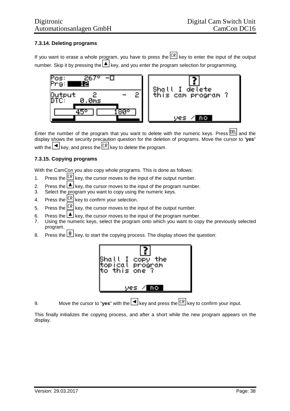# **7.3.14. Deleting programs**

If you want to erase a whole program, you have to press the  $\overline{CR}$  key to enter the input of the output number. Skip it by pressing the  $\Box$  key, and you enter the program selection for programming.



Enter the number of the program that you want to delete with the numeric keys. Press  $\frac{DEL}{E}$  and the display shows the security precaution question for the deletion of programs. Move the cursor to "**yes**" with the  $\leq$  key, and press the  $\lfloor \text{CR} \rfloor$  key to delete the program.

# **7.3.15. Copying programs**

With the CamCon you also copy whole programs. This is done as follows:

- 1. Press the  $\frac{CR}{CR}$  key, the cursor moves to the input of the output number.
- 2. Press the  $\triangle$  key, the cursor moves to the input of the program number.
- 3. Select the program you want to copy using the numeric keys.
- 4. Press the  $\sqrt{CR}$  key to confirm your selection.
- 5. Press the  $\frac{CR}{CR}$  key, the cursor moves to the input of the output number.
- 6. Press the  $\triangleq$  key, the cursor moves to the input of the program number.
- 7. Using the numeric keys, select the program onto which you want to copy the previously selected program.
- 8. Press the  $\left| \frac{\text{#}}{\text{}} \right|$  key, to start the copying process. The display shows the question:



9. Move the cursor to "**yes**" with the  $\blacksquare$  key and press the  $\boxed{CR}$  key to confirm your input.

This finally initializes the copying process, and after a short while the new program appears on the display.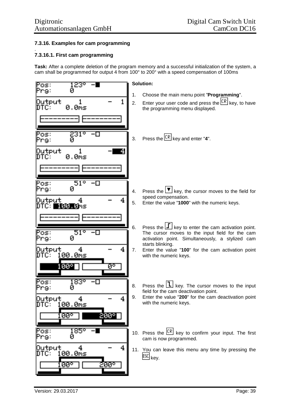## **7.3.16. Examples for cam programming**

### **7.3.16.1. First cam programming**

.

**Task:** After a complete deletion of the program memory and a successful initialization of the system, a cam shall be programmed for output 4 from 100° to 200° with a speed compensation of 100ms

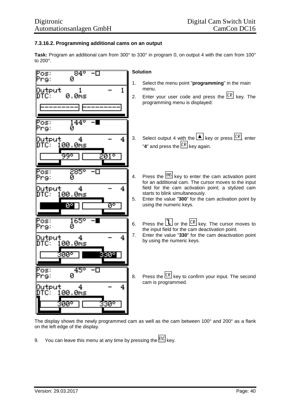## **7.3.16.2. Programming additional cams on an output**

**Task:** Program an additional cam from 300° to 330° in program 0, on output 4 with the cam from 100° to 200°.



The display shows the newly programmed cam as well as the cam between 100° and 200° as a flank on the left edge of the display.

9. You can leave this menu at any time by pressing the  $\sqrt{\text{ESC}}$  key.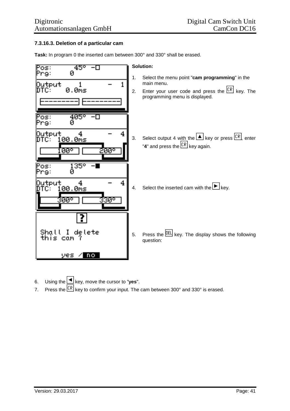# **7.3.16.3. Deletion of a particular cam**

**Task:** In program 0 the inserted cam between 300° and 330° shall be erased.



- 6. Using the key, move the cursor to "**yes**".
- 7. Press the  $\frac{CR}{CR}$  key to confirm your input. The cam between 300° and 330° is erased.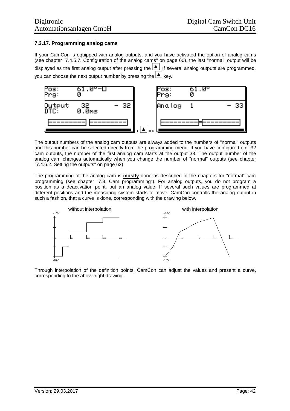# **7.3.17. Programming analog cams**

If your CamCon is equipped with analog outputs, and you have activated the option of analog cams (see chapter "7.4.5.7. Configuration of the analog cams" on page 60), the last "normal" output will be displayed as the first analog output after pressing the  $\Box$  If several analog outputs are programmed, you can choose the next output number by pressing the  $\Box$  key.



The output numbers of the analog cam outputs are always added to the numbers of "normal" outputs and this number can be selected directly from the programming menu. If you have configured e.g. 32 cam outputs, the number of the first analog cam starts at the output 33. The output number of the analog cam changes automatically when you change the number of "normal" outputs (see chapter "7.4.6.2. Setting the outputs" on page 62).

The programming of the analog cam is **mostly** done as described in the chapters for "normal" cam programming (see chapter "7.3. Cam programming"). For analog outputs, you do not program a position as a deactivation point, but an analog value. If several such values are programmed at different positions and the measuring system starts to move, CamCon controlls the analog output in such a fashion, that a curve is done, corresponding with the drawing below.



Through interpolation of the definition points, CamCon can adjust the values and present a curve, corresponding to the above right drawing.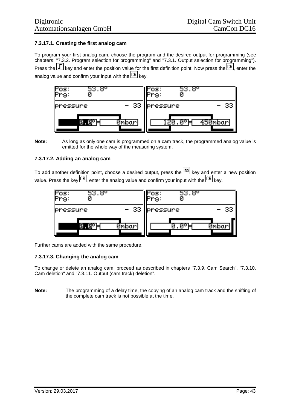# **7.3.17.1. Creating the first analog cam**

To program your first analog cam, choose the program and the desired output for programming (see chapters: "7.3.2. Program selection for programming" and "7.3.1. Output selection for programming"). Press the  $\Box$  key and enter the position value for the first definition point. Now press the  $\Box$  enter the analog value and confirm your input with the  $\overline{\text{CR}}$  kev.



**Note:** As long as only one cam is programmed on a cam track, the programmed analog value is emitted for the whole way of the measuring system.

# **7.3.17.2. Adding an analog cam**

To add another definition point, choose a desired output, press the  $\frac{[NS]}{[NS]}$  key and enter a new position value. Press the key  $\overline{CR}$ , enter the analog value and confirm your input with the  $\overline{CR}$  key.



Further cams are added with the same procedure.

## **7.3.17.3. Changing the analog cam**

To change or delete an analog cam, proceed as described in chapters "7.3.9. Cam Search", "7.3.10. Cam deletion" and "7.3.11. Output (cam track) deletion".

**Note:** The programming of a delay time, the copying of an analog cam track and the shifting of the complete cam track is not possible at the time.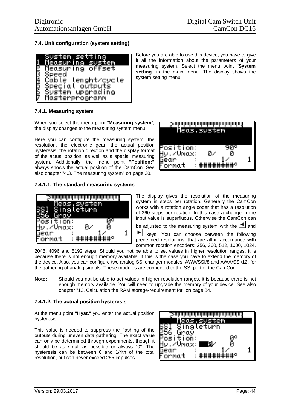## **7.4. Unit configuration (system setting)**



Before you are able to use this device, you have to give it all the information about the parameters of your measuring system. Select the menu point "**System setting**" in the main menu. The display shows the system setting menu:

# **7.4.1. Measuring system**

When you select the menu point "**Measuring system**", the display changes to the measuring system menu:

Here you can configure the measuring system, the resolution, the electronic gear, the actual position hysteresis, the rotation direction and the display format of the actual position, as well as a special measuring system. Additionally, the menu point **"Position:"** always shows the actual position of the CamCon. See also chapter "4.3. The measuring system" on page 20.

## **7.4.1.1. The standard measuring systems**





The display gives the resolution of the measuring system in steps per rotation. Generally the CamCon works with a rotation angle coder that has a resolution of 360 steps per rotation. In this case a change in the input value is superfluous. Otherwise the CamCon can

be adjusted to the measuring system with the  $\Box$  and

Þ. keys. You can choose between the following predefined resolutions, that are all in accordance with common rotation encoders: 256, 360, 512, 1000, 1024,

2048, 4096 and 8192 steps. Should you not be able to set values in higher resolution ranges, it is because there is not enough memory available. If this is the case you have to extend the memory of the device. Also, you can configure two analog SSI changer modules, AWA/SSI/8 and AWA/SSI/12, for the gathering of analog signals. These modules are connected to the SSI port of the CamCon.

**Note:** Should you not be able to set values in higher resolution ranges, it is because there is not enough memory available. You will need to upgrade the memory of your device. See also chapter "12. Calculation the RAM storage-requirement for" on page 84.

#### **7.4.1.2. The actual position hysteresis**

At the menu point **"Hyst."** you enter the actual position hysteresis.

This value is needed to suppress the flashing of the outputs during uneven data gathering. The exact value can only be determined through experiments, though it should be as small as possible or always "0". The hysteresis can be between 0 and 1/4th of the total resolution, but can never exceed 255 impulses.

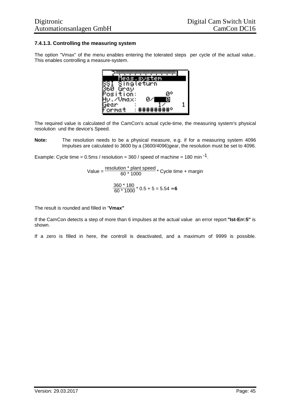## **7.4.1.3. Controlling the measuring system**

The option "Vmax" of the menu enables entering the tolerated steps per cycle of the actual value.. This enables controlling a measure-system.

The required value is calculated of the CamCon's actual cycle-time, the measuring system's physical resolution und the device's Speed.

**Note:** The resolution needs to be a physical measure, e.g. if for a measuring system 4096 Impulses are calculated to 3600 by a (3600/4096)gear, the resolution must be set to 4096.

Example: Cycle time =  $0.5$ ms / resolution = 360 / speed of machine = 180 min<sup>-1</sup>.

Value =  $\frac{\text{resolution * plant speed}}{60 * 1000}$  \* Cycle time + margin  $\frac{360 \times 180}{60 \times 1000}$  \* 0.5 + 5 = 5.54  $\approx$  **6** 

The result is rounded and filled in "**Vmax"**

If the CamCon detects a step of more than 6 impulses at the actual value an error report **"Ist-Err:5"** is shown.

If a zero is filled in here, the controll is deactivated, and a maximum of 9999 is possible.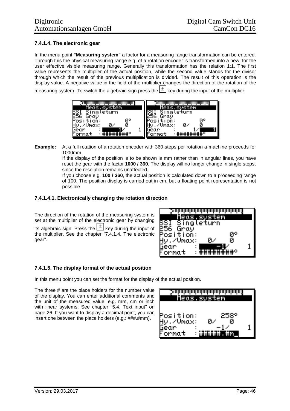# **7.4.1.4. The electronic gear**

In the menu point **"Measuring system"** a factor for a measuring range transformation can be entered. Through this the physical measuring range e.g. of a rotation encoder is transformed into a new, for the user effective visible measuring range. Generally this transformation has the relation 1:1. The first value represents the multiplier of the actual position, while the second value stands for the divisor through which the result of the previous multiplication is divided. The result of this operation is the display value. A negative value in the field of the multiplier changes the direction of the rotation of the

measuring system. To switch the algebraic sign press the  $\pm$  key during the input of the multiplier.

| <u> Meas,system,</u><br>Singleturn | <u>Meas.system,</u><br>Singleturn |
|------------------------------------|-----------------------------------|
| Gray                               | Grav                              |
| Й٥<br>tion:<br>75<br>п.            | Й٥<br>tion:<br>Й.,                |
| П<br>/Umax:<br>lear                | /Umax:<br>Й<br>eor                |
| ormat                              | *********<br>ormat                |

**Example:** At a full rotation of a rotation encoder with 360 steps per rotation a machine proceeds for 1000mm.

If the display of the position is to be shown is mm rather than in angular lines, you have reset the gear with the factor **1000 / 360**. The display will no longer change in single steps, since the resolution remains unaffected.

If you choose e.g. **100 / 360**, the actual position is calculated down to a proceeding range of 100. The position display is carried out in cm, but a floating point representation is not possible.

### **7.4.1.4.1. Electronically changing the rotation direction**

The direction of the rotation of the measuring system is set at the multiplier of the electronic gear by changing its algebraic sign. Press the  $\pm$  key during the input of the multiplier. See the chapter "7.4.1.4. The electronic gear".

|             | <u>&gt;որդարարարարարարարար</u> |  |
|-------------|--------------------------------|--|
| Neos        | vstem                          |  |
|             | Singleturn                     |  |
| 256<br>Gray |                                |  |
| osition:    | ЙP                             |  |
| ∠Umax:      | И                              |  |
| bear<br>е   |                                |  |
| Format      |                                |  |

## **7.4.1.5. The display format of the actual position**

In this menu point you can set the format for the display of the actual position.

The three # are the place holders for the number value of the display. You can enter additional comments and the unit of the measured value, e.g. mm, cm or inch with linear systems. See chapter "5.4. Text input" on page 26. If you want to display a decimal point, you can insert one between the place holders (e.g.: ###.#mm).

| <u> ≥ոնանանանանանանանանան</u><br><u> Meas, system</u> |            |  |
|-------------------------------------------------------|------------|--|
| osition:<br><b>MUmax:</b><br>uear<br>ormat            | 2581<br>07 |  |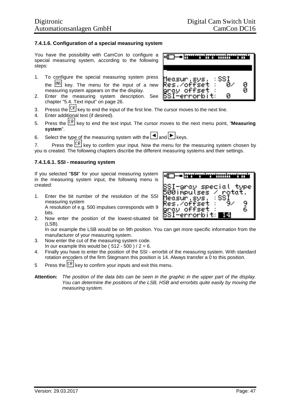### **7.4.1.6. Configuration of a special measuring system**

You have the possibility with CamCon to configure a special measuring system, according to the following steps:

- 1. To configure the special measuring system press the  $\frac{[NS]}{[NS]}$  key. The menu for the input of a new measuring system appears on the the display.
- 2. Enter the measuring system description. See chapter "5.4. Text input" on page 26.
- 3. Presss the  $\mathbb{E}[\mathbb{R}]$  key to end the input of the first line. The cursor moves to the next line.
- 4. Enter additional text (if desired).
- 5. Press the key to end the text input. The cursor moves to the next menu point, "**Measuring system**".
- 6. Select the type of the measuring system with the  $\Box$  and  $\Box$  keys.

7. Press the  $\mathbb{R}$  key to confirm your input. Now the menu for the measuring system chosen by you is created. The following chapters discribe the different measuring systems and their settings.

#### **7.4.1.6.1. SSI - measuring system**

If you selected "**SSI**" for your special measuring system in the measuring system input, the following menu is created:

- 1. Enter the bit number of the resolution of the SSI measuring system A resolution of e.g. 500 impulses corresponds with 9 bits.
- 2. Now enter the position of the lowest-situated bit (LSB).

In our example the LSB would be on 9th position. You can get more specific information from the manufacturer of your measuring system.

- 3. Now enter the cut of the measuring system code. In our example this would be ( $512 - 500$ ) /  $2 = 6$ .
- 4. Finally you have to enter the position of the SSI errorbit of the measuring system. With standard rotation encoders of the firm Stegmann this position is 14. Always transfer a 0 to this position.
- 5 Press the  $\mathbb{R}$  key to confirm your inputs and exit this menu.
- Attention: The position of the data bits can be seen in the graphic in the upper part of the display. *You can determine the positions of the LSB, HSB and errorbits quite easily by moving the measuring system.*



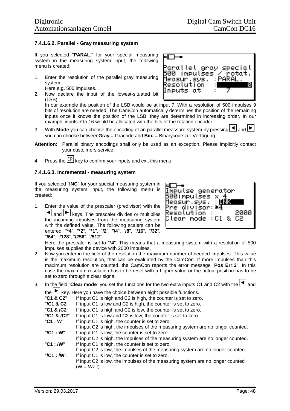### **7.4.1.6.2. Parallel - Gray measuring system**

If you selected "**PARAL.**" for your special measuring system in the measuring system input, the following menu is created:

- 1. Enter the resolution of the parallel gray measuring system. Here e.g. 500 impulses.
- 2. Now declare the input of the lowest-situated bit (LSB).



In our example the position of the LSB would be at input 7. With a resolution of 500 impulses 9 bits of resolution are needed. The CamCon automatically determines the position of the remaining inputs once it knows the position of the LSB; they are determined in increasing order. In our example inputs 7 to 16 would be allocated with the bits of the rotation encoder.

- 3. With **Mode** you can choose the encoding of an parallel meassure system by pressing  $\blacksquare$  and  $\blacksquare$ you can choose between**Gray** = Gracode and **Bin.** = Binarycode zur Verfügung.
- **Attention:** Parallel binary encodings shall only be used as an exception. Please implicitly contact your custoimers service.
- 4. Press the  $\overline{\text{CR}}$  key to confirm your inputs and exit this menu.

#### **7.4.1.6.3. Incremental - measuring system**

If you selected "**INC**" for your special measuring system in the measuring system input, the following menu is created:

1. Enter the value of the prescaler (predivisor) with the  $\boxed{\blacktriangle}$  and  $\boxed{\blacktriangleright}$  keys. The prescaler divides or multiplies the incoming impulses from the measuring system with the defined value. The following scalers can be entered: "**\*4**", "**\*2**", "**\*1**", "**/2**", "**/4**", "**/8**", "**/16**", "**/32**", "**/64**", "**/128**", "**/256**", "**/512**".



Here the prescaler is set to "**\*4**". This means that a measuring system with a resolution of 500 impulses supplies the device with 2000 impulses.

- 2. Now you enter in the field of the resolution the maximum number of needed impulses. This value is the maximum resolution, that can be evaluated by the CamCon. If more impulses than this maximum resolution are counted, the CamCon reports the error message "**Pos Err:3**". In this case the maximum resolution has to be reset with a higher value or the actual position has to be set to zero through a clear signal.
- 3. In the field "**Clear mode**" you set the functions for the two extra inputs C1 and C2 with the **1** and  $t_{\text{the}}$   $\blacktriangleright$   $\vert$   $\kappa$ ey. Here you have the choice between eight possible functions.

|          | $\overline{C}$ $\overline{C}$ $\overline{C}$ $\overline{C}$ $\overline{C}$ $\overline{C}$ $\overline{C}$ $\overline{C}$ $\overline{C}$ and $\overline{C}$ and $\overline{C}$ and $\overline{C}$ and $\overline{C}$ and $\overline{C}$ and $\overline{C}$ and $\overline{C}$ and $\overline{C}$ and $\overline{C}$ and $\overline{C}$ and $\overline{C$ |
|----------|--------------------------------------------------------------------------------------------------------------------------------------------------------------------------------------------------------------------------------------------------------------------------------------------------------------------------------------------------------|
| C1 & C2" | If input $C1$ is high and $C2$ is high the counter is set to zero                                                                                                                                                                                                                                                                                      |

- **"C1 & C2"** If input C1 is high and C2 is high, the counter is set to zero.<br>"**/C1 & C2**" If input C1 is low and C2 is high, the counter is set to zero.
- If input C1 is low and C2 is high, the counter is set to zero.
- "**C1 & /C2**" If input C1 is high and C2 is low, the counter is set to zero.
- "**/C1 & /C2**" If input C1 is low and C2 is low, the counter is set to zero.
- "C1 : W" If input C1 is high, the counter is set to zero.
- If input C2 is high, the impulses of the measuring system are no longer counted. "**/C1 : W**" If input C1 is low, the counter is set to zero.
- If input C2 is high, the impulses of the measuring system are no longer counted.
- "C1 : **/W**" If input C1 is high, the counter is set to zero.
- If input C2 is low, the impulses of the measuring system are no longer counted.
- "/C1 : **/W**". If input C1 is low, the counter is set to zero.
	- If input C2 is low, the impulses of the measuring system are no longer counted  $(W = Wait)$ .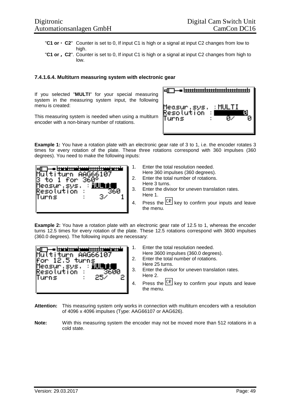- "**C1 or áC2**" Counter is set to 0, If input C1 is high or a signal at input C2 changes from low to high.
- "**C1 or âC2**". Counter is set to 0, If input C1 is high or a signal at input C2 changes from high to low.

#### **7.4.1.6.4. Multiturn measuring system with electronic gear**

If you selected "**MULTI**" for your special measuring system in the measuring system input, the following menu is created:

This measuring system is needed when using a multiturn encoder with a non-binary number of rotations.



**Example 1:** You have a rotation plate with an electronic gear rate of 3 to 1, i.e. the encoder rotates 3 times for every rotation of the plate. These three rotations correspond with 360 impulses (360 degrees). You need to make the following inputs:



- 1. Enter the total resolution needed.
	- Here 360 impulses (360 degrees).
- 2. Enter the total number of rotations. Here 3 turns.
- 3. Enter the divisor for uneven translation rates. Here 1.
- 4. Press the  $\sqrt{CR}$  key to confirm your inputs and leave the menu.

**Example 2:** You have a rotation plate with an electronic gear rate of 12.5 to 1, whereas the encoder turns 12.5 times for every rotation of the plate. These 12.5 rotations correspond with 3600 impulses (360.0 degrees). The following inputs are necessary:



- 1. Enter the total resolution needed.
	- Here 3600 impulses (360.0 degrees).
- 2. Enter the total number of rotations. Here 25 turns.
- 3. Enter the divisor for uneven translation rates. Here 2.
- 4. Press the  $\mathbb{R}$  key to confirm your inputs and leave the menu.
- **Attention:** This measuring system only works in connection with multiturn encoders with a resolution of 4096 x 4096 impulses (Type: AAG66107 or AAG626).
- **Note:** With this measuring system the encoder may not be moved more than 512 rotations in a cold state.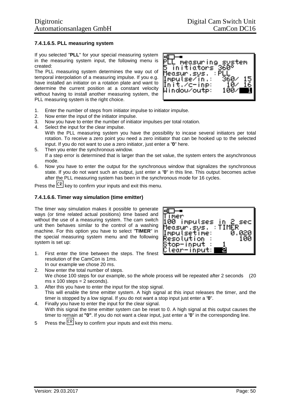### **7.4.1.6.5. PLL measuring system**

If you selected "**PLL**" for your special measuring system in the measuring system input, the following menu is created:

The PLL measuring system determines the way out of temporal interpolation of a measuring impulse. If you e.g. have installed an initiator on a rotation plate and want to determine the current position at a constant velocity without having to install another measuring system, the PLL measuring system is the right choice.



- 1. Enter the number of steps from initiator impulse to initiator impulse.
- 2. Now enter the input of the initiator impulse.
- 3. Now you have to enter the number of initiator impulses per total rotation.
- 4. Select the input for the clear impulse.

With the PLL measuring system you have the possibility to incase several initiators per total rotation. To receive a zero point you need a zero initiator that can be hooked up to the selected input. If you do not want to use a zero initiator, just enter a "**0**" here.

- 5. Then you enter the synchronous window. If a step error is determined that is larger than the set value, the system enters the asynchronous mode.
- 6. Now you have to enter the output for the synchronous window that signalizes the synchronous state. If you do not want such an output, just enter a "**0**" in this line. This output becomes active after the PLL measuring system has been in the synchronous mode for 16 cycles.

Press the  $\sqrt{\frac{CR}{CR}}$  key to confirm your inputs and exit this menu.

#### **7.4.1.6.6. Timer way simulation (time emitter)**

The timer way simulation makes it possible to generate ways (or time related actual positions) time based and without the use of a measuring system. The cam switch unit then behaves similar to the control of a washing machine. For this option you have to select "**TIMER**" in the special measuring system menu and the following system is set up:

1. First enter the time between the steps. The finest resolution of the CamCon is 1ms. In our example we chose 20 ms.



- 2. Now enter the total number of steps. We chose 100 steps for our example, so the whole process will be repeated after 2 seconds (20 ms  $x$  100 steps = 2 seconds).
- 3. After this you have to enter the input for the stop signal. This will enable the time emitter system. A high signal at this input releases the timer, and the timer is stopped by a low signal. If you do not want a stop input just enter a "**0**".
- 4. Finally you have to enter the input for the clear signal. With this signal the time emitter system can be reset to 0. A high signal at this output causes the timer to remain at **"0"**. If you do not want a clear input, just enter a "**0**" in the corresponding line.
- 5 Press the  $\sqrt{[CR]}$  key to confirm your inputs and exit this menu.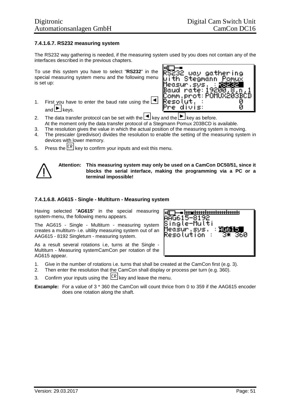### **7.4.1.6.7. RS232 measuring system**

The RS232 way gathering is needed, if the measuring system used by you does not contain any of the interfaces described in the previous chapters.

To use this system you have to select "**RS232**" in the special measuring system menu and the following menu is set up:

1. First you have to enter the baud rate using the  $\blacksquare$ and  $\blacktriangleright$  keys.



- 2. The data transfer protocol can be set with the  $\Box$  key and the  $\Box$  key as before. At the moment only the data transfer protocol of a Stegmann Pomux 203BCD is available.
- 3. The resolution gives the value in which the actual position of the measuring system is moving.
- 4. The prescaler (predivisor) divides the resolution to enable the setting of the measuring system in devices with lower memory.
- 5. Press the  $\frac{CR}{CR}$  key to confirm your inputs and exit this menu.



**Attention: This measuring system may only be used on a CamCon DC50/51, since it blocks the serial interface, making the programming via a PC or a terminal impossible!**

#### **7.4.1.6.8. AG615 - Single - Multiturn - Measuring system**

Having selected "**AG615**" in the special measuring system-menu, the following menu appears.

The AG615 - Single - Multiturn - measuring system creates a multiturn- i.e. ultility measuring system out of an AAG615 - 8192 Singleturn - measuring system.

As a result several rotations i.e, turns at the Single - Multiturn - Measuring systemCamCon per rotation of the AG615 appear.



- 1. Give in the number of rotations i.e. turns that shall be created at the CamCon first (e.g. 3).
- 2. Then enter the resolution that the CamCon shall display or process per turn (e.g. 360).
- 3. Confirm your inputs using the  $\frac{CR}{CR}$  key and leave the menu.
- **Excample:** For a value of 3 \* 360 the CamCon will count thrice from 0 to 359 if the AAG615 encoder does one rotation along the shaft.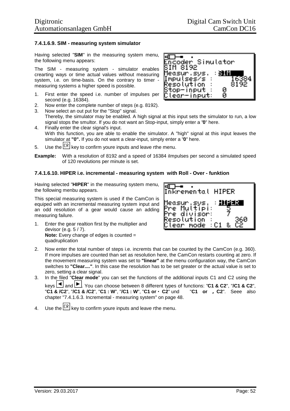0

Ō

incoder Simulator

### **7.4.1.6.9. SIM - measuring system simulator**

Having selected "**SIM**" in the measuring system menu, the following menu appears:

The SIM - measuring system - simulator enables crearting ways or time actual values without measuring system, i.e. on time-basis. On the contrary to timer measuring systems a higher speed is possible.

- 1. First enter the speed i.e. number of impulses per second (e.g. 16384).
- 2. Now enter the complete number of steps (e.g. 8192).
- 3. Now select an out put for the "Stop" signal.
- Thereby, the simulator may be enabled. A high signal at this input sets the simulator to run, a low signal stops the smultor. If you do not want an Stop-input, simply enter a "**0**" here. 4. Finally enter the clear signal's input.

EГ

6ïM 8192 Measur.sys. Impulses/s : Resolution. Stop-input

<u> Clear-Input:</u>

- With this function, you are able to enable the simulator. A "high" signal at this input leaves the simulator at **"0".** If you do not want a clear-input, simply enter a "**0**" here.
- 5. Use the  $\frac{CR}{CR}$  key to confirm youre inputs and leave rthe menu.
- **Example:** With a resolution of 8192 and a speed of 16384 ilmpulses per second a simulated speed of 120 revolutions per minute is set.

### **7.4.1.6.10. HIPER i.e. incremental - measuring system with Roll - Over - funktion**

Having selected "**HIPER**" in the measuring system menu, the following menbu appears.

This special measuring system is used if the CamCon is equiped with an incremental measuring system input and an odd resolution of a gear would cause an adding measuring failure.

1. Enter the gear realtion first by the multiplier and devisor (e.g. 5 / 7). **Note:** Every change of edges is counted = quadruplication



- 2. Now enter the total number of steps i.e. incremts that can be counted by the CamCon (e.g. 360). If more impulses are counted than set as resolution here, the CamCon restarts counting at zero. If the movement measuring system was set to **"linear"** at the menu configuration way, the CamCon switches to **"Clear...."**. In this case the resolution has to be set greater or the actual value is set to zero, setting a clear signal.
- 3. In the filed "**Clear mode**" you can set the functions of the additional inputs C1 and C2 using the keys **4** and **1** You can choose between 8 different types of functions: "**C1 & C2**", "**/C1 & C2**", "**C1 & /C2**", "**/C1 & /C2**", "**C1 : W**", "**/C1 : W**", "**C1 or áC2**" und "**C1 or âC2**". Seee also chapter "7.4.1.6.3. Incremental - measuring system" on page 48.
- 4. Use the  $\frac{CR}{R}$  key to confirm youre inputs and leave rthe menu.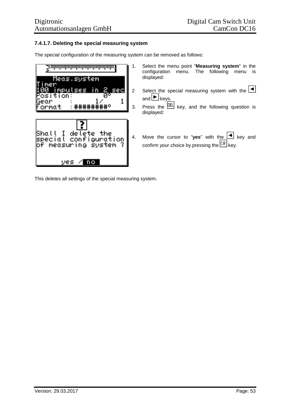## **7.4.1.7. Deleting the special measuring system**

The special configuration of the measuring system can be removed as follows:



This deletes all settings of the special measuring system.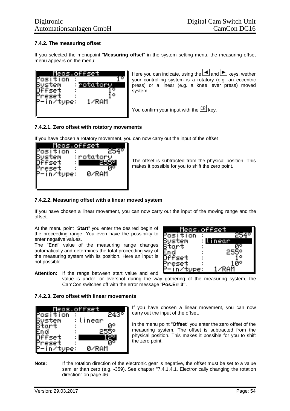# **7.4.2. The measuring offset**

If you selected the menupoint "**Measuring offset**" in the system setting menu, the measuring offset menu appears on the menu:



Here you can indicate, using the  $\Box$  and  $\Box$  keys, wether your controlling system is a rotatory (e.g. an eccentric press) or a linear (e.g. a knee lever press) moved system.

You confirm your input with the  $\mathbb{E} \mathbb{R}$  kev.

### **7.4.2.1. Zero offset with rotatory movements**

If you have chosen a rotatory movement, you can now carry out the input of the offset



The offset is subtracted from the physical position. This makes it possible for you to shift the zero point.

### **7.4.2.2. Measuring offset with a linear moved system**

If you have chosen a linear movement, you can now carry out the input of the moving range and the offset.

At the menu point "**Start**" you enter the desired begin of the proceeding range. You even have the possibility to enter negative values.

The "**End**" value of the measuring range changes automatically and determines the total proceeding way of the measuring system with its position. Here an input is not possible.



**Attention:** If the range between start value and end

value is under- or overshot during the way gathering of the measuring system, the CamCon switches off with the error message "**Pos.Err 3"**.

#### **7.4.2.3. Zero offset with linear movements**



If you have chosen a linear movement, you can now carry out the input of the offset.

In the menu point "**Offset**" you enter the zero offset of the measuring system. The offset is subtracted from the physical position. This makes it possible for you to shift the zero point.

**Note:** If the rotation direction of the electronic gear is negative, the offset must be set to a value samller than zero (e.g. -359). See chapter "7.4.1.4.1. Electronically changing the rotation direction" on page 46.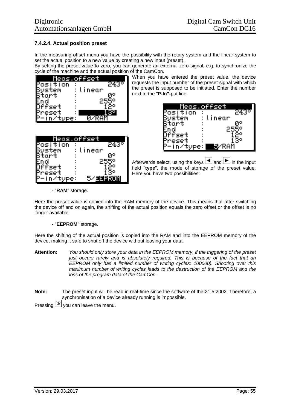# **7.4.2.4. Actual position preset**

In the measuring offset menu you have the possibility with the rotary system and the linear system to set the actual position to a new value by creating a new input (preset).

By setting the preset value to zero, you can generate an external zero signal, e.g. to synchronize the cycle of the machine and the actual position of the CamCon.



When you have entered the preset value, the device requests the input number of the preset signal with which the preset is supposed to be initiated. Enter the number next to the "**P-In"-**put line.

| Meas.offse  |         |  |
|-------------|---------|--|
| 'OS '<br>оп | 24      |  |
| tem         | :tinear |  |
| tart        | O       |  |
|             |         |  |
| Set.        |         |  |
|             | 7       |  |
|             | ۵M      |  |

| <u> Meas offset</u> |                     |
|---------------------|---------------------|
| osition<br>٠<br>n   | ت ہے:               |
| ÷<br>tem<br>٠       | linear<br><b>GP</b> |
| -+<br>n             |                     |
| п                   |                     |
| п<br>٠              | 39,                 |
|                     |                     |

Afterwards select, using the keys  $\blacksquare$  and  $\blacksquare$  in the input field "**type**", the mode of storage of the preset value. Here you have two possibilities:

### - "**RAM**" storage.

Here the preset value is copied into the RAM memory of the device. This means that after switching the device off and on again, the shifting of the actual position equals the zero offset or the offset is no longer available.

#### - "**EEPROM**" storage.

Here the shifting of the actual position is copied into the RAM and into the EEPROM memory of the device, making it safe to shut off the device without loosing your data.

- **Attention:** *You should only store your data in the EEPROM memory, if the triggering of the preset just occurs rarely and is absolutely required. This is because of the fact that an EEPROM only has a limited number of writing cycles: 100000). Shooting over this maximum number of writing cycles leads to the destruction of the EEPROM and the loss of the program data of the CamCon.*
- **Note:** The preset input will be read in real-time since the software of the 21.5.2002. Therefore, a synchronisation of a device already running is impossible.

Pressing  $\overline{\text{CR}}$  you can leave the menu.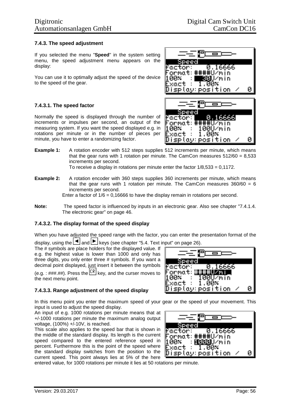. 16666

### **7.4.3. The speed adjustment**

If you selected the menu "**Speed**" in the system setting menu, the speed adjustment menu appears on the display:

You can use it to optimally adjust the speed of the device to the speed of the gear.

#### **7.4.3.1. The speed factor**

Normally the speed is displayed through the number of increments or impulses per second, an output of the measuring system. If you want the speed displayed e.g. in rotations per minute or in the number of pieces per minute, you have to enter a randomizing factor.

- **Example 1:** A rotation encoder with 512 steps supplies 512 increments per minute, which means that the gear runs with 1 rotation per minute. The CamCon measures  $512/60 = 8,533$ increments per second. To receive a display in rotations per minute enter the factor  $1/8,533 = 0,1172$ .
- **Example 2:** A rotation encoder with 360 steps supplies 360 increments per minute, which means that the gear runs with 1 rotation per minute. The CamCon measures  $360/60 = 6$ increments per second.

Enter a factor of  $1/6 = 0.16666$  to have the display remain in rotations per second.

**Note:** The speed factor is influenced by inputs in an electronic gear. Also see chapter "7.4.1.4. The electronic gear" on page 46.

#### **7.4.3.2. The display format of the speed display**

When you have adjusted the speed range with the factor, you can enter the presentation format of the display, using the  $\boxed{\blacktriangleleft}$  and  $\boxed{\blacktriangleright}$  keys (see chapter "5.4. Text input" on page 26).

The # symbols are place holders for the displayed value. If e.g. the highest value is lower than 1000 and only has three digits, you only enter three # symbols. If you want a decimal point displayed, just insert it between the symbols

(e.g. : ###.##). Press the  $\sqrt{CR}$  key, and the curser moves to the next menu point.

#### **7.4.3.3. Range adjustment of the speed display**

In this menu point you enter the maximum speed of your gear or the speed of your movement. This input is used to adjust the speed display.

An input of e.g. 1000 rotations per minute means that at +/-1000 rotations per minute the maximum analog output voltage, (100%) +/-10V, is reached.

This scale also applies to the speed bar that is shown in the middle of the standard display. Its length is the current speed compared to the entered reference speed in percent. Furthermore this is the point of the speed where the standard display switches from the position to the current speed. This point always lies at 5% of the here



0.16666

##U/mi

<u>199Uzmin</u> 1.00×

 $\mathtt{Display: position}$   $\times$ 

Speed

factor:

Exact

ormat: 100×

entered value, for 1000 rotations per minute it lies at 50 rotations per minute.



П

factor:

Ø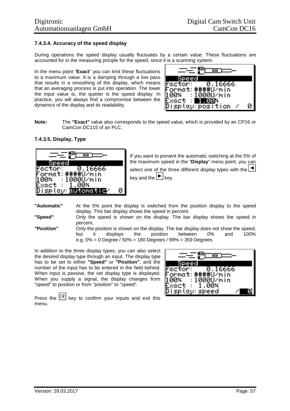### **7.4.3.4. Accuracy of the speed display**

During operations the speed display usually fluctuates by a certain value. These fluctuations are accounted for in the measuring priciple for the speed, since it is a scanning system.

In the menu point "**Exact**" you can limit these fluctuations to a maximum value. It is a damping through a low pass that results in a smoothing of the display, which means that an averaging process is put into operation. The lower the input value is, the quieter is the speed display. In practice, you will always find a compromise between the dynamics of the display and its readability.



**Note:** The **"Exact"** value also corresponds to the speed value, which is provided by an CP16 or CamCon DC115 of an PLC.

### **7.4.3.5. Display, Type**



If you want to prevent the automatic switching at the 5% of the maximum speed in the "**Display**" menu point, you can

select one of the three different display types with the  $\blacksquare$ key and the  $\blacktriangleright$  key.

- **"Automatic"** At the 5% point the display is switched from the position display to the speed display. This bar display shows the speed in percent.
- **"Speed"** Only the speed is shown on the display. The bar display shows the speed in percent.
- **"Position"** Only the position is shown on the display. The bar display does not show the speed, but it displays the position between 0% and 100% e.g. 0% = 0 Degree / 50% = 180 Degrees / 99% = 359 Degrees.

In addition to the three display types, you can also select the desired display type through an input. The display type has to be set to either **"Speed"** or **"Position"**, and the number of the input has to be entered in the field behind. When input is passive, the set display type is displayed. When you supply a signal, the display changes from "speed" to position or from "position" to "speed".

| fac<br>16666<br>И<br>エロト              |
|---------------------------------------|
| $\sqrt{p}$ :<br>Torma:<br>ÎП,<br>t: : |
| 00U/min<br>00× .<br>$\cdot$ 1         |
| 70×                                   |
| cМ                                    |

Press the  $\mathbb{R}$  key to confirm your inputs and exit this menu.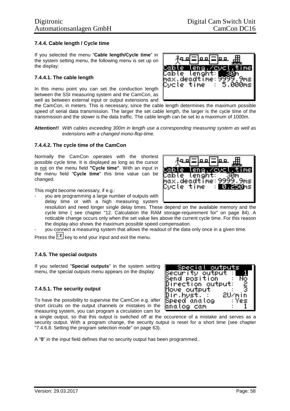## **7.4.4. Cable length / Cycle time**

If you selected the menu "**Cable length/Cycle time**" in the system setting menu, the following menu is set up on the display:

### **7.4.4.1. The cable length**

In this menu point you can set the conduction length between the SSI measuring system and the CamCon, as well as between external input or output extensions and



the CamCon, in meters. This is necessary, since the cable length determines the maximum possible speed of serial data transmission. The larger the set cable length, the larger is the cycle time of the transmission and the slower is the data traffic. The cable length can be set to a maximum of 1000m.

**Attention!!** *With cables exceeding 300m in length use a corresponding measuring system as well as extensions with a changed mono-flop-time.*

#### **7.4.4.2. The cycle time of the CamCon**

Normally the CamCon operates with the shortest possible cycle time. It is displayed as long as the cursor is not on the menu field **"Cycle time"**. With an input in the menu field "**Cycle time**" this time value can be changed.

This might become necessary, if e.g.:

- you are programming a large number of outputs with delay time or with a high measuring system

- resolution and need longer single delay times. These depend on the available memory and the cycle time ( see chapter "12. Calculation the RAM storage-requirement for" on page 84). A noticable change occurs only when the set value lies above the current cycle time. For this reason the display also shows the maximum possible speed compensation.
- you connect a measuring system that allows the readout of the data only once in a given time.

Press the  $\sqrt{CR}$  key to end your input and exit the menu.

#### **7.4.5. The special outputs**

If you selected "**Special outputs**" in the system setting menu, the special outputs menu appears on the display:

#### **7.4.5.1. The security output**

To have the possibility to supervise the CamCon e.g. after short circuits on the output channels or mistakes in the measuring system, you can program a circulation cam for



a single output, so that this output is switched off at the occurence of a mistake and serves as a security output. With a program change, the security output is reset for a short time (see chapter "7.4.6.8. Setting the program selection mode" on page 63).

A "**0**" in the input field defines that no security output has been programmed..

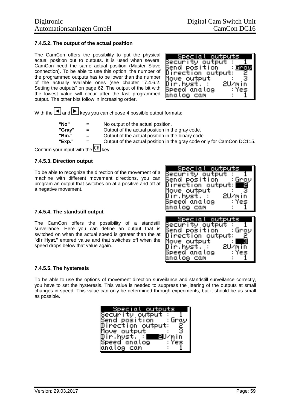## **7.4.5.2. The output of the actual position**

The CamCon offers the possibility to put the physical actual position out to outputs. It is used when several CamCon need the same actual position (Master Slave connection). To be able to use this option, the number of the programmed outputs has to be lower than the number of the actually available ones (see chapter "7.4.6.2. Setting the outputs" on page 62. The output of the bit with the lowest value will occur after the last programmed output. The other bits follow in increasing order.



With the  $\blacksquare$  and  $\blacksquare$  keys you can choose 4 possible output formats:

**"No"** = No output of the actual position. **"Gray"** = Output of the actual position in the gray code. **"Bin."** = Output of the actual position in the binary code. **"Exp."** = Output of the actual position in the gray code only for CamCon DC115.

Confirm your input with the  $\overline{\mathbb{CR}}$  key.

### **7.4.5.3. Direction output**

To be able to recognize the direction of the movement of a machine with different movement directions, you can program an output that switches on at a positive and off at a negative movement.

#### **7.4.5.4. The standstill output**

The CamCon offers the possibility of a standstill surveilance. Here you can define an output that is switched on when the actual speed is greater than the at "**dir Hyst.**" entered value and that switches off when the speed drops below that value again.

| Special outputs<br>Security output.                     |
|---------------------------------------------------------|
| Send position - Gray<br>Direction output: <br><b>re</b> |
| Move output<br>Dir.hyst. : I<br>– 2U⁄min                |
| TT: Yes<br>Speed analog<br>bnalog cam                   |
| Special outputs                                         |
| Security output<br>Bend position<br>: Grov              |

Direction outpu Move output Dir.hyst.

ipeed anatog

natog cam

#### **7.4.5.5. The hysteresis**

To be able to use the options of movement direction surveilance and standstill surveilance correctly, you have to set the hysteresis. This value is needed to suppress the jittering of the outputs at small changes in speed. This value can only be determined through experiments, but it should be as small as possible.

| 'Special outputs                                                    |        |
|---------------------------------------------------------------------|--------|
| Security output : IT<br>Send position : Gray<br>Direction output: 2 |        |
|                                                                     |        |
|                                                                     |        |
| MoveToutput                                                         | 3      |
| Dir,hyst,∵<br>Speed anatog<br>█∰J⁄min                               | —— Yes |
|                                                                     |        |
| bhalog cam                                                          |        |

c c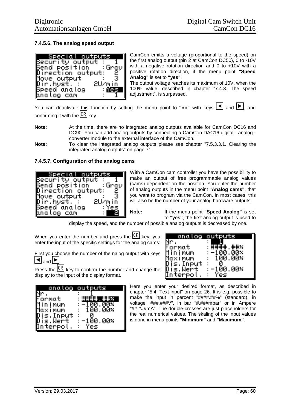## **7.4.5.6. The analog speed output**

| Special outputs                              |                                                                                                                      |
|----------------------------------------------|----------------------------------------------------------------------------------------------------------------------|
| Security output : 1<br> Send position   Gray |                                                                                                                      |
|                                              |                                                                                                                      |
| Direction output:                            | 7 ë                                                                                                                  |
| MoveToutputT<br>Dir.hyst. :<br>Speed analog  | 3                                                                                                                    |
|                                              | 2U/min                                                                                                               |
|                                              | <b>The Contract of the Contract of the Contract of the Contract of the Contract of the Contract of the Contract </b> |
| bhalog cam                                   |                                                                                                                      |

CamCon emitts a voltage (proportional to the speed) on the first analog output (pin 2 at CamCon DC50), 0 to -10V with a negative rotation direction and 0 to +10V with a positive rotation direction, if the menu point **"Speed Analog"** is set to **"yes"**.

The output voltage reaches its maximum of 10V, when the 100% value, described in chapter "7.4.3. The speed adjustment", is surpassed.

You can deactivate this function by setting the menu point to "no" with keys  $\blacksquare$  and  $\blacksquare$ , and confirming it with the  $\sqrt{CR}$  key.

**Note:** At the time, there are no integrated analog outputs available for CamCon DC16 and DC90. You can add analog outputs by connecting a CamCon DAC16 digital - analog converter module to the external interface of the CamCon.

**Note:** To clear the integrated analog outputs please see chapter "7.5.3.3.1. Clearing the integrated analog outputs" on page 71.

# **7.4.5.7. Configuration of the analog cams**



With a CamCon cam controller you have the possibillity to make an output of free programmable analog values (cams) dependent on the position. You enter the number of analog outputs in the menu point **"Analog cams"**, that you want to program via the CamCon. In most cases, this will also be the number of your analog hardware outputs.

**Note:** If the menu point **"Speed Analog"** is set to **"yes"**, the first analog output is used to

display the speed, and the number of possible analog outputs is decreased by one.

When you enter the number and press the  $\mathbb{R}$  key, you enter the input of the specific settings for the analog cams:

First you choose the number of the nalog output with keys and  $\blacktriangleright$ 

Press the  $\mathbb{R}$  key to confirm the number and change the display to the input of the display format.

|                       | analog outputs |
|-----------------------|----------------|
|                       |                |
| Format                | $\sim 10^{-1}$ |
| Mīnimum               | --100.<br>иих  |
| Maximum               | 100.00x        |
|                       | $\bullet$      |
| Dis.Input<br>Dis.Wert | $: -100,00x$   |
| terpol                |                |
|                       |                |

|                       | analog outputs |
|-----------------------|----------------|
|                       | ####           |
| Format<br>1īn i mum   | $-100.$        |
| iax i num             | 100.00×        |
| Dis.Input<br>Dis.Wert | -100.00×       |
| terpol                |                |

Here you enter your desired format, as described in chapter "5.4. Text input" on page 26. It is e.g. possible to make the input in percent "####.##%" (standard), in voltage "###.###V", in bar "#.###mbar" or in Ampere "##.###mA". The double-crosses are just placeholders for the real numerical values. The skaling of the input values is done in menu points **"Minimum"** and **"Maximum"**.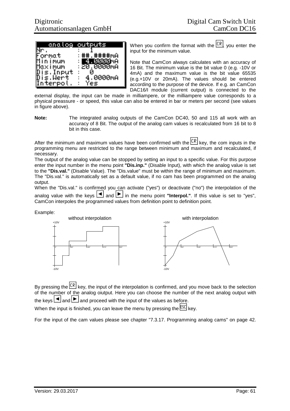|                       | analog <del>outputs</del> |
|-----------------------|---------------------------|
|                       |                           |
| iormat                | 井井井井MA<br>: ##            |
| lin imum              | 1515151                   |
| Maximum               | .0000мА<br>: 20           |
|                       |                           |
|                       |                           |
| teronl                |                           |
| Dis.Input<br>Dis.Wert | 4.0000mA                  |

When you confirm the format with the  $\frac{CR}{CR}$ , you enter the input for the minimum value.

Note that CamCon always calculates with an accuracy of 16 Bit. The minimum value is the bit value 0 (e.g. -10V or 4mA) and the maximum value is the bit value 65535 (e.g.+10V or 20mA). The values should be entered according to the purpose of the device. If e.g. an CamCon DAC16/I module (current output) is connected to the

external display, the input can be made in milliampere, or the milliampere value corresponds to a physical preassure - or speed, this value can also be entered in bar or meters per second (see values in figure above).

**Note:** The integrated analog outputs of the CamCon DC40, 50 and 115 all work with an accuracy of 8 Bit. The output of the analog cam values is recalculated from 16 bit to 8 bit in this case.

After the minimum and maximum values have been confirmed with the  $\mathcal{LR}$  key, the com inputs in the programming menu are restricted to the range between minimum and maximum and recalculated, if necessary.

The output of the analog value can be stopped by setting an input to a specific value. For this purpose enter the input number in the menu point **"Dis.inp."** (Disable Input), with which the analog value is set to the **"Dis.val."** (Disable Value). The "Dis.value" must be within the range of minimum and maximum. The "Dis.val." is automatically set as a default value, if no cam has been programmed on the analog output.

When the "Dis.val." is confirmed you can activate ("yes") or deactivate ("no") the interpolation of the analog value with the keys  $\Box$  and  $\Box$  in the menu point "**Interpol.**". If this value is set to "yes", CamCon interpoles the programmed values from definition point to definition point.

Example:



By pressing the  $\frac{CR}{CR}$  key, the input of the interpolation is confirmed, and you move back to the selection of the number of the analog oiutput. Here you can choose the number of the next analog output with the keys  $\Box$  and  $\Box$  and proceed with the input of the values as before.

When the input is finished, you can leave the menu by pressing the  $\frac{ESC}{ESC}$  key.

For the input of the cam values please see chapter "7.3.17. Programming analog cams" on page 42.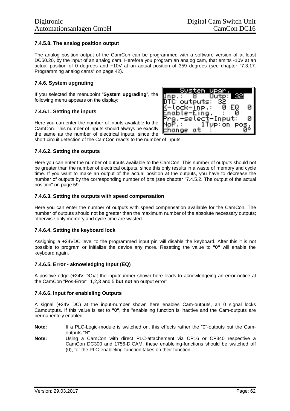### **7.4.5.8. The analog position output**

The analog position output of the CamCon can be programmed with a software version of at least DC50.20, by the input of an analog cam. Herefore you program an analog cam, that emitts -10V at an actual position of 0 degrees and +10V at an actual position of 359 degrees (see chapter "7.3.17. Programming analog cams" on page 42).

#### **7.4.6. System upgrading**

If you selected the menupoint "**System upgrading**", the following menu appears on the display:

#### **7.4.6.1. Setting the inputs**

Here you can enter the number of inputs available to the CamCon. This number of inputs should always be exactly the same as the number of electrical inputs, since the short circuit detection of the CamCon reacts to the number of inputs.



Here you can enter the number of outputs available to the CamCon. This number of outputs should not be greater than the number of electrical outputs, since this only results in a waste of memory and cycle time. If you want to make an output of the actual position at the outputs, you have to decrease the number of outputs by the corresponding number of bits (see chapter "7.4.5.2. The output of the actual position" on page 59.

#### **7.4.6.3. Setting the outputs with speed compensation**

Here you can enter the number of outputs with speed compensation available for the CamCon. The number of outputs should not be greater than the maximum number of the absolute necessary outputs; otherwise only memory and cycle time are wasted.

#### **7.4.6.4. Setting the keyboard lock**

Assigning a +24VDC level to the programmed input pin will disable the keyboard. After this it is not possible to program or initialize the device any more. Resetting the value to **"0"** will enable the keyboard again.

#### **7.4.6.5. Error - aknowledging Input (EQ)**

A positive edge (+24V DC)at the inputnumber shown here leads to aknowledgeing an error-notice at the CamCon "Pos-Error": 1,2,3 and 5 **but not** an output error"

#### **7.4.6.6. Input for enableling Outputs**

A signal (+24V DC) at the input-number shown here enables Cam-outputs, an 0 signal locks Camoutputs. If this value is set to **"0"**, the "enableling function is inactive and the Cam-outputs are permanentely enabled.

- **Note:** If a PLC-Logic-module is switched on, this effects rather the "0"-outputs but the Camoutputs "N".
- **Note:** Using a CamCon with direct PLC-attachement via CP16 or CP340 respective a CamCon DC300 and 1756-DICAM, these enableling-functions should be switched off (0), for the PLC-enableling-function takes on their function.

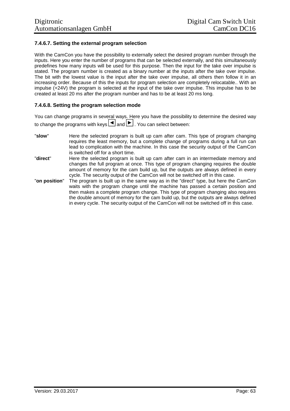# **7.4.6.7. Setting the external program selection**

With the CamCon you have the possibility to externally select the desired program number through the inputs. Here you enter the number of programs that can be selected externally, and this simultaneously predefines how many inputs will be used for this purpose. Then the input for the take over impulse is stated. The program number is created as a binary number at the inputs after the take over impulse. The bit with the lowest value is the input after the take over impulse, all others then follow it in an increasing order. Because of this the inputs for program selection are completely relocatable.. With an impulse (+24V) the program is selected at the input of the take over impulse. This impulse has to be created at least 20 ms after the program number and has to be at least 20 ms long.

### **7.4.6.8. Setting the program selection mode**

You can change programs in several ways. Here you have the possibility to determine the desired way to change the programs with keys  $\boxed{\blacktriangleleft}$  and  $\boxed{\blacktriangleright}$ . You can select between:

- "**slow**" Here the selected program is built up cam after cam. This type of program changing requires the least memory, but a complete change of programs during a full run can lead to complication with the machine. In this case the security output of the CamCon is switched off for a short time.
- "**direct**" Here the selected program is built up cam after cam in an intermediate memory and changes the full program at once. This type of program changing requires the double amount of memory for the cam build up, but the outputs are always defined in every cycle. The security output of the CamCon will not be switched off in this case.
- "**on position**" The program is built up in the same way as in the "direct" type, but here the CamCon waits with the program change until the machine has passed a certain position and then makes a complete program change. This type of program changing also requires the double amount of memory for the cam build up, but the outputs are always defined in every cycle. The security output of the CamCon will not be switched off in this case.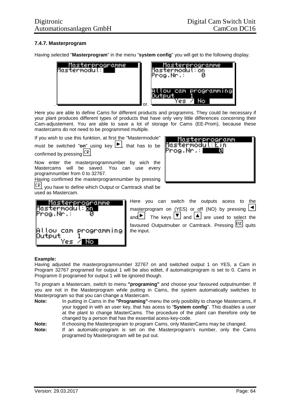# **7.4.7. Masterprogram**

Having selected "**Masterprogram**" in the menu "**system config**" you will get to the following display.



Here you are able to define Cams for different products and programms. They could be necessary if your plant produces different types of products that have only very little differences concerning their Cam-adjustement. You are able to save a lot of storage for Cams (EE-Prom), because these mastercams do not need to be programmed multiple.

If you wish to use this funktion, at first the "Mastermodule"

must be switched "**on**" using key <u>|►</u>, that has to be confirmed by pressing  $\sqrt{CR}$ 

Now enter the masterprogramnumber by wich the Mastercams will be saved. You can use every programnumber from 0 to 32767.

Having confirmed the masterprogramnumber by pressing  $\overline{CR}$ , you have to define which Output or Camtrack shall be used as Mastercam.



| <u>Masterprogramm</u><br>Mastermodul:Ein<br>$\mathsf{Prog}$ .Nr $\mathbb{R}$ $\blacksquare$<br>П |
|--------------------------------------------------------------------------------------------------|
|                                                                                                  |
|                                                                                                  |

Here you can switch the outputs acess to the masterprogram on (YES) or off (NO) by pressing  $\boxed{\blacktriangleleft}$ and  $\Box$  The keys  $\Box$  and  $\Box$  are used to select the favoured Outputmuber or Camtrack. Pressing **ESC** quits the input.

#### **Example:**

Having adjusted the masterprogramnumber 32767 on and switched output 1 on YES, a Cam in Program 32767 programed for output 1 will be also editet, if automaticprogram is set to 0. Cams in Programm 0 programed for output 1 will be ignored though.

To program a Mastercam, switch to menu **"programing"** and choose your favoured outputnumber. If you are not in the Masterprogram while putting in Cams, the system automatically switches to Masterprogram so that you can change a Mastercam.

**Note:** In putting in Cams in the **"Programing"**-menu the only posibility to change Mastercams, if your logged in with an user key, that has acess to "**System config**". This disables a user at the plant to change MasterCams. The procedure of the plant can therefore only be changed by a person that has the essential acess-key-code.

**Note:** If choosing the Masterprogram to program Cams, only MasterCams may be changed.

**Note:** If an automatic-program is set on the Masterprogram's number, only the Cams programed by Masterprogram will be put out.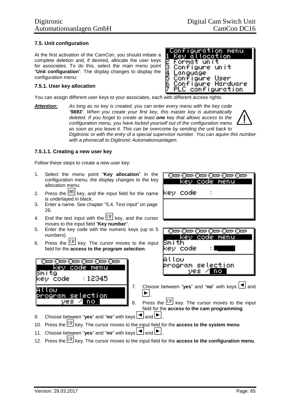### **7.5. Unit configuration**

At the first activation of the CamCon, you should initiate a complete deletion and, if desired, allocate the user keys for associates. To do this, select the main menu point "**Unit configuration**". The display changes to display the configuration menu:

#### **7.5.1. User key allocation**

You can assign different user keys to your associates, each with different access rights.

*Attention: As long as no key is created, you can enter every menu with the key code "5693". When you create your first key, this master key is automatically deleted. If you forget to create at least one key that allows access to the configuration menu, you have locked yourself out of the configuration menu as soon as you leave it. This can be overcome by sending the unit back to Digitronic or with the entry of a special supervisor number. You can aquire this number with a phonecall to Digitronic Automationsanlagen.*

#### **7.5.1.1. Creating a new user key**

Follow these steps to create a new user key:

- 1. Select the menu point "**Key allocation**" in the configuration menu; the display changes to the key allocation menu:
- 2. Press the  $\frac{[NS]}{[NS]}$  key, and the input field for the name is underlayed in black.
- 3. Enter a name. See chapter "5.4. Text input" on page 26.
- 4. End the text input with the  $\frac{CR}{R}$  key, and the cursor moves to the input field "**Key number**".
- 5. Enter the key code with the numeric keys (up to 5 numbers).
- 6. Press the  $\overline{CR}$  key. The cursor moves to the input field for the **access to the program selection**.





<u>රිසා රිසා රිසා රිසා රිසා රිසා</u>



- 7. Choose between "yes" and "no" with keys  $\boxed{\blacktriangleleft}$  and  $\blacktriangleright$
- 8. Press the  $\frac{CR}{CR}$  key. The cursor moves to the input field for the **access to the cam programming**.
- 9. Choose between "yes" and "no" with keys  $\boxed{\blacktriangleleft}$  and  $\boxed{\blacktriangleright}$ .
- 10. Press the key. The cursor moves to the input field for the **access to the system menu**
- 11. Choose between "**yes**" and "no" with keys  $\boxed{\blacktriangle}$  and  $\boxed{\blacktriangleright}$ .
- 12. Press the key. The cursor moves to the input field for the **access to the configuration menu**.

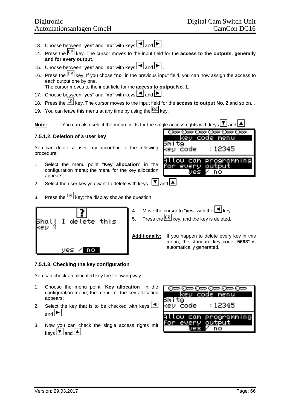- 13. Choose between "yes" and "no" with keys **4** and **P**.
- 14. Press the key. The cursor moves to the input field for the **access to the outputs, generally and for every output**.
- 15. Choose between "yes" and "no" with keys **4** and  $\blacktriangleright$ .
- 16. Press the key. If you chose "**no**" in the previous input field, you can now assign the access to each output one by one. The cursor moves to the input field for the **access to output No. 1**.

17. Choose between "**yes**" and "no" with keys  $\Box$  and  $\Box$ .

- 18. Press the  $\frac{CR}{CR}$  key. The cursor moves to the input field for the **access to output No. 2** and so on...
- 19. You can leave this menu at any time by using the **ESC** key.

**Note:** You can also select the menu fields for the single access rights with keys  $\mathbf{F}$  and

# **7.5.1.2. Deletion of a user key**

You can delete a user key according to the following procedure:

- 1. Select the menu point "**Key allocation**" in the configuration menu; the menu for the key allocation appears:
- 2. Select the user key you want to delete with keys  $\boxed{\blacktriangledown}$  and  $\boxed{\blacktriangle}$
- 3. Press the  $\frac{DEL}{E}$  key; the display shows the question:





- 4. Move the cursor to "**yes**" with the  $\boxed{\blacktriangleleft}$  key.
- 5. Press the  $\sqrt{CR}$  key, and the key is deleted.

**Additionally:** If you happen to delete every key in this menu, the standard key code "**5693**" is automatically generated.

## **7.5.1.3. Checking the key configuration**

You can check an allocated key the following way:

- 1. Choose the menu point "**Key allocation**" in the configuration menu; the menu for the key allocation appears:
- 2. Select the key that is to be checked with keys  $\boxed{\blacktriangleleft}$ and  $|\blacktriangleright|$
- 3. Now you can check the single access rights mit  $keys$   $\boxed{\blacktriangledown}$  and  $\boxed{\blacktriangle}$ .

| ode menu<br>n din 1<br>1202.V             |  |  |
|-------------------------------------------|--|--|
| $\pm 12345$<br>- code                     |  |  |
| Allow cam programming<br>for every output |  |  |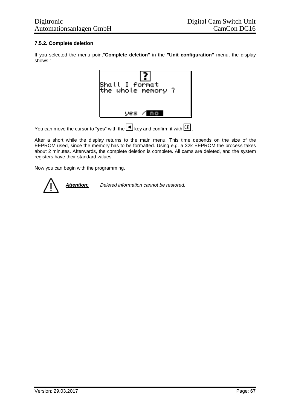# **7.5.2. Complete deletion**

If you selected the menu point**"Complete deletion"** in the **"Unit configuration"** menu, the display shows :



You can move the cursor to "yes" with the  $\blacksquare$  key and confirm it with  $\boxed{\text{CR}}$ .

After a short while the display returns to the main menu. This time depends on the size of the EEPROM used, since the memory has to be formatted. Using e.g. a 32k EEPROM the process takes about 2 minutes. Afterwards, the complete deletion is complete. All cams are deleted, and the system registers have their standard values.

Now you can begin with the programming.

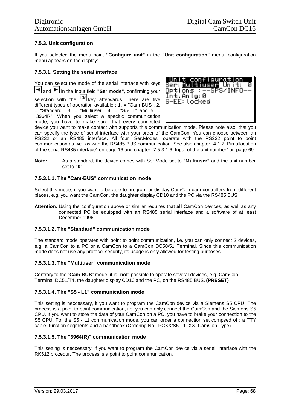## **7.5.3. Unit configuration**

If you selected the menu point **"Configure unit"** in the **"Unit configuration"** menu, configuration menu appears on the display:

### **7.5.3.1. Setting the serial interface**

You can select the mode of the serial interface with keys and **in** the input field "Ser.mode", confirming your selection with the  $\overline{CR}$  key afterwards There are five different types of operation available : 1. = "Cam-BUS", 2.  $=$  "Standard", 3.  $=$  "Multiuser", 4.  $=$  "S5-L1" and 5.  $=$ "3964R". When you select a specific communication mode, you have to make sure, that every connected



device you want to make contact with supports this communication mode. Please note also, that you can specify the type of serial interface with your order of the CamCon. You can choose between an RS232 or an RS485 interface. All four "Ser.Modes" operate with the RS232 point to point communication as well as with the RS485 BUS communication. See also chapter "4.1.7. Pin allocation of the serial RS485 interface" on page 16 and chapter "7.5.3.1.6. Input of the unit number" on page 69.

**Note:** As a standard, the device comes with Ser.Mode set to **"Multiuser"** and the unit number set to **"0"** .

## **7.5.3.1.1. The "Cam-BUS" communication mode**

Select this mode, if you want to be able to program or display CamCon cam controllers from different places, e.g. you want the CamCon, the daughter display CD10 and the PC via the RS485 BUS.

**Attention:** Using the configuration above or similar requires that **all** CamCon devices, as well as any connected PC be equipped with an RS485 serial interface and a software of at least December 1996.

#### **7.5.3.1.2. The "Standard" communication mode**

The standard mode operates with point to point communication, i.e. you can only connect 2 devices, e.g. a CamCon to a PC or a CamCon to a CamCon DC50/51 Terminal. Since this communication mode does not use any protocol security, its usage is only allowed for testing purposes.

#### **7.5.3.1.3. The "Multiuser" communication mode**

Contrary to the "**Cam-BUS**" mode, it is "**not**" possible to operate several devices, e.g. CamCon Terminal DC51/T4, the daughter display CD10 and the PC, on the RS485 BUS. **(PRESET)**

#### **7.5.3.1.4. The "S5 - L1" communication mode**

This setting is neccessary, if you want to program the CamCon device via a Siemens S5 CPU. The process is a point to point communication, i.e. you can only connect the CamCon and the Siemens S5 CPU. If you want to store the data of your CamCon on a PC, you have to brake your connection to the S5 CPU. For the S5 - L1 communication mode, you can order a connection set compsed of : a TTY cable, function segments and a handbook (Ordering.No.: PCXX/S5-L1 XX=CamCon Type).

## **7.5.3.1.5. The "3964(R)" communication mode**

This setting is neccessary, if you want to program the CamCon device via a seriell interface with the RK512 prozedur. The process is a point to point communication.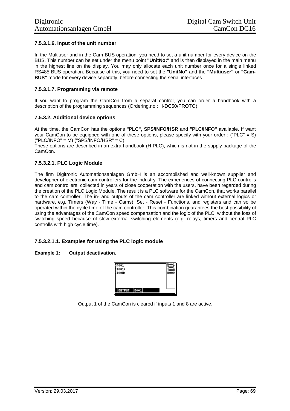## **7.5.3.1.6. Input of the unit number**

In the Multiuser and in the Cam-BUS operation, you need to set a unit number for every device on the BUS. This number can be set under the menu point **"UnitNo:"** and is then displayed in the main menu in the highest line on the display. You may only allocate each unit number once for a single linked RS485 BUS operation. Because of this, you need to set the **"UnitNo"** and the **"Multiuser"** or **"Cam-BUS"** mode for every device separatly, before connecting the serial interfaces.

#### **7.5.3.1.7. Programming via remote**

If you want to program the CamCon from a separat control, you can order a handbook with a description of the programming sequences (Ordering.no.: H-DC50/PROTO).

#### **7.5.3.2. Additional device options**

At the time, the CamCon has the options **"PLC", SPS/INFO/HSR** and **"PLC/INFO"** available. If want your CamCon to be equipped with one of these options, please specify with your order : ("PLC" = S)  $("PLC/INFO" = M) ("SPS/INFO/HSR" = C).$ 

These options are described in an extra handbook (H-PLC), which is not in the supply package of the CamCon.

#### **7.5.3.2.1. PLC Logic Module**

The firm Digitronic Automationsanlagen GmbH is an accomplished and well-known supplier and developper of electronic cam controllers for the industry. The experiences of connecting PLC controlls and cam controllers, collected in years of close cooperation with the users, have been regarded during the creation of the PLC Logic Module. The result is a PLC software for the CamCon, that works parallel to the cam controller. The in- and outputs of the cam controller are linked without external logics or hardware, e.g. Timers (Way - Time - Cams), Set - Reset - Functions, and registers and can so be operated within the cycle time of the cam controller. This combination guarantees the best possibility of using the advantages of the CamCon speed compensation and the logic of the PLC, without the loss of switching speed because of slow external switching elements (e.g. relays, timers and central PLC controlls with high cycle time).

#### **7.5.3.2.1.1. Examples for using the PLC logic module**

#### **Example 1: Output deactivation.**



Output 1 of the CamCon is cleared if inputs 1 and 8 are active.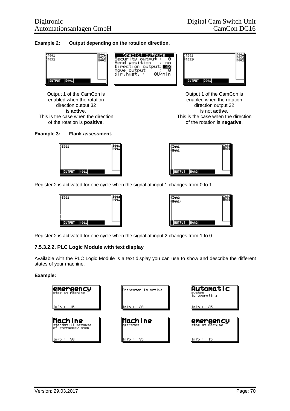#### **Example 2: Output depending on the rotation direction.**



Output 1 of the CamCon is Output 1 of the CamCon is enabled when the rotation enabled when the rotation direction output 32 direction output 32 is **active**. is not **active**. This is the case when the direction This is the case when the direction of the rotation is **positive**. of the rotation is **negative**.

#### **Example 3: Flank assessment.**





Register 2 is activated for one cycle when the signal at input 1 changes from 0 to 1.



| EDD1:                 |  |
|-----------------------|--|
| :Haa1ı                |  |
|                       |  |
|                       |  |
|                       |  |
| <b>ROOM</b><br>OUTPUT |  |

Register 2 is activated for one cycle when the signal at input 2 changes from 1 to 0.

#### **7.5.3.2.2. PLC Logic Module with text display**

Available with the PLC Logic Module is a text display you can use to show and describe the different states of your machine.

#### **Example:**

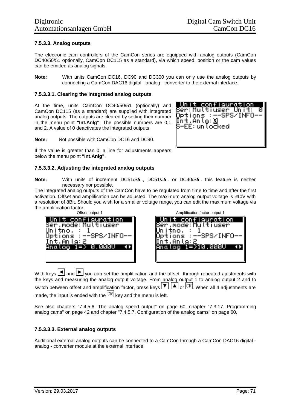### **7.5.3.3. Analog outputs**

The electronic cam controllers of the CamCon series are equipped with analog outputs (CamCon DC40/50/51 optionally, CamCon DC115 as a standard), via which speed, position or the cam values can be emitted as analog signals.

**Note:** With units CamCon DC16, DC90 and DC300 you can only use the analog outputs by connecting a CamCon DAC16 digital - analog - converter to the external interface.

#### **7.5.3.3.1. Clearing the integrated analog outputs**

At the time, units CamCon DC40/50/51 (optionally) and CamCon DC115 (as a standard) are supplied with integrated analog outputs. The outputs are cleared by setting their number in the menu point **"Int.Anlg"**. The possible numbers are 0,1 and 2. A value of 0 deactivates the integrated outputs.

**Note:** Not possible with CamCon DC16 and DC90.



If the value is greater than 0, a line for adjustments appears below the menu point **"Int.Anlg"**.

#### **7.5.3.3.2. Adjusting the integrated analog outputs**

**Note:** With units of increment DC51/S*5*.., DC51/J*5*.. or DC40/S*5*.. this feature is neither necessary nor possible.

The integrated analog outputs of the CamCon have to be regulated from time to time and after the first activation. Offset and amplification can be adjusted. The maximum analog output voltage is  $\pm 10V$  with a resolution of 8Bit. Should you wish for a smaller voltage range, you can edit the maximum voltage via the amplification factor.

| Offset output 1                                                                                    | Amplification factor output 1                                                                               |
|----------------------------------------------------------------------------------------------------|-------------------------------------------------------------------------------------------------------------|
| Unit configuration<br>lSer.mode:Multiuser<br>tions :−−SPS/INFO−−<br>t.Anto: 2<br>Anαlog 1=> 0.000V | Unit configuration.<br>Ber.mode:Multiuser<br>tno.<br>Options ∶–−SPS/INFO-<br>t.Anla:2<br>⊯Anαlog 1=>10.000V |
|                                                                                                    |                                                                                                             |

With keys  $\Box$  and  $\Box$  you can set the amplification and the offset through repeated ajustments with the keys and measuring the analog output voltage. From analog output 1 to analog output 2 and to switch between offset and amplification factor, press keys  $\P$ ,  $\P$ , or  $\overline{\text{CR}}$ . When all 4 adjustments are made, the input is ended with the  $\mathbb{R}$  key and the menu is left.

See also chapters "7.4.5.6. The analog speed output" on page 60, chapter "7.3.17. Programming analog cams" on page 42 and chapter "7.4.5.7. Configuration of the analog cams" on page 60.

#### **7.5.3.3.3. External analog outputs**

Additional external analog outputs can be connected to a CamCon through a CamCon DAC16 digital analog - converter module at the external interface.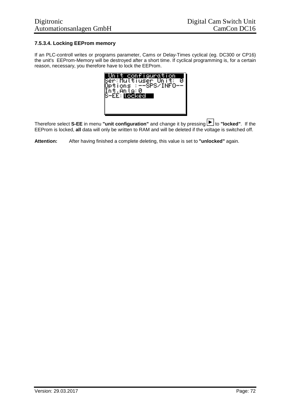# **7.5.3.4. Locking EEProm memory**

If an PLC-controll writes or programs parameter, Cams or Delay-Times cyclical (eg. DC300 or CP16) the unit's EEProm-Memory will be destroyed after a short time. If cyclical programming is, for a certain reason, necessary, you therefore have to lock the EEProm.



Therefore select S-EE in menu "unit configuration" and change it by pressing **F** to "locked". If the EEProm is locked, **all** data will only be written to RAM and will be deleted if the voltage is switched off.

**Attention:** After having finished a complete deleting, this value is set to **"unlocked"** again.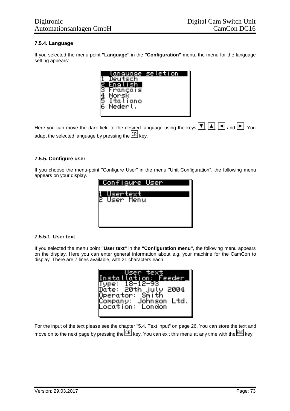## **7.5.4. Language**

If you selected the menu point **"Language"** in the **"Configuration"** menu, the menu for the language setting appears:



Here you can move the dark field to the desired language using the keys  $\P$ ,  $\Box$ ,  $\Box$ ,  $\Box$  and  $\Box$ . You adapt the selected language by pressing the  $\overline{\text{CR}}$  key.

## **7.5.5. Configure user**

If you choose the menu-point "Configure User" in the menu "Unit Configuration", the following menu appears on your display.



## **7.5.5.1. User text**

If you selected the menu point **"User text"** in the **"Configuration menu"**, the following menu appears on the display. Here you can enter general information about e.g. your machine for the CamCon to display. There are 7 lines available, with 21 characters each.

| lser tex<br>Installation: Feeder I<br>18-12-93<br>$T$ vpe:<br>)até: 20th july 2004<br>Dperator: Smith |
|-------------------------------------------------------------------------------------------------------|
| Company: Johnson.<br><b>Ltd</b><br>Location: London                                                   |

For the input of the text please see the chapter "5.4. Text input" on page 26. You can store the text and move on to the next page by pressing the  $\sqrt{CR}$  key. You can exit this menu at any time with the  $\sqrt{ES}$  key.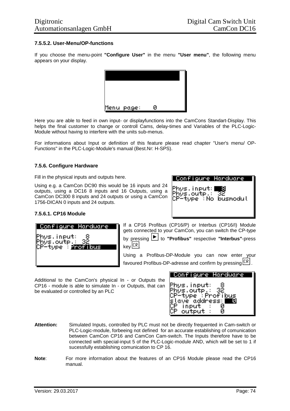## **7.5.5.2. User-Menu/OP-functions**

If you choose the menu-point **"Configure User"** in the menu **"User menu"**, the following menu appears on your display.



Here you are able to feed in own input- or displayfunctions into the CamCons Standart-Display. This helps the final customer to change or controll Cams, delay-times and Variables of the PLC-Logic-Module without having to interfere with the units sub-menus.

For informations about Input or definition of this feature please read chapter "User's menu/ OP-Functions" in the PLC-Logic-Module's manual (Best.Nr: H-SPS).

### **7.5.6. Configure Hardware**

Fill in the physical inputs and outputs here.

Using e.g. a CamCon DC90 this would be 16 inputs and 24 outputs, using a DC16 8 inputs and 16 Outputs, using a CamCon DC300 8 inputs and 24 outputs or using a CamCon 1756-DICAN 0 inputs and 24 outputs.



## **7.5.6.1. CP16 Module**

| Configure Hardware                       |
|------------------------------------------|
| ∀hys.input:                              |
| Phys.outp.:<br>$^\circ$ -tope : 22321305 |
|                                          |
|                                          |

If a CP16 Profibus (CP16/P) or Interbus (CP16/I) Module gets connected to your CamCon, you can switch the CP-type by pressing to **"Profibus"** respective **"Interbus"**-press  $keV$  $CR$ 

Using a Profibus-DP-Module you can now enter your favoured Profibus-DP-adresse and confirm by pressing  $\sqrt{CR}$ .

Additional to the CamCon's physical In - or Outputs the CP16 - module is able to simulate In - or Outputs, that can be evaluated or controlled by an PLC



- **Attention:** Simulated Inputs, controlled by PLC must not be directly frequented in Cam-switch or PLC-Logic-module, forbeeing not defined for an accurate establishing of comunication between CamCon CP16 and CamCon Cam-switch. The Inputs therefore have to be connected with special-input 5 of the PLC-Logic-module AND, which will be set to 1 if sucessfully establishing comunication to CP 16.
- **Note**: For more information about the features of an CP16 Module please read the CP16 manual.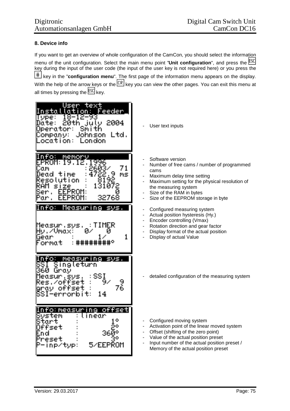## **8. Device info**

If you want to get an overview of whole configuration of the CamCon, you should select the information menu of the unit configuration. Select the main menu point "**Unit configuration**", and press the key during the input of the user code (the input of the user key is not required here) or you press the key in the "**configuration menu**". The first page of the information menu appears on the display. With the help of the arrow keys or the  $\overline{CR}$  key you can view the other pages. You can exit this menu at all times by pressing the  $\overline{\text{ESC}}$  key.

| text<br>lser<br><u>Feeder </u><br>lotion<br>n sta<br>12-93<br><b>VPe:</b><br>2004<br>20th<br>Date:<br>-114<br>ιυ<br>Operator:<br>Smith<br>Ltd.<br>Johnson<br>Company:<br>ocation:<br>London | User text inputs                                                                                                                                                                                                                                 |
|---------------------------------------------------------------------------------------------------------------------------------------------------------------------------------------------|--------------------------------------------------------------------------------------------------------------------------------------------------------------------------------------------------------------------------------------------------|
| nfo:<br>memory<br>PROM:<br>996<br>19<br>2603/<br>71<br>jαm<br>4722.<br>9<br>Dead<br>MS<br>T. I MP<br>Resolution<br>1 Й<br>чΑМ<br>size<br>EEPROM:<br>ser<br>32768<br>EEPROM:<br>ar.          | Software version<br>Number of free cams / number of programmed<br>cams<br>Maximum delay time setting<br>Maximum setting for the physical resolution of<br>the measuring system<br>Size of the RAM in bytes<br>Size of the EEPROM storage in byte |
| nfo:<br><u>Measuring</u><br>svs.<br>Measur.sys.<br>Hv./Vmax:<br>0.<br>U<br>Gear<br>ormat                                                                                                    | Configured measuring system<br>Actual position hysteresis (Hy.)<br>Encoder controlling (Vmax)<br>Rotation direction and gear factor<br>Display format of the actual position<br>Display of actual Value                                          |
| fo:<br>measur i<br>sws.<br>mer<br><u>Singleturn</u><br>360<br>Grav<br>SSI<br>leasur.svs<br>Res.⁄offset<br>9<br>76<br>offset<br>arav<br>errorb<br>14                                         | detailed configuration of the measuring system                                                                                                                                                                                                   |
| offsetl<br>to:measurı<br>nei<br>Svstem<br>near<br>Start<br>Offset<br>3609<br>reset<br>5/EEPROM<br>inp/tvp:                                                                                  | Configured moving system<br>Activation point of the linear moved system<br>Offset (shifting of the zero point)<br>Value of the actual position preset<br>Input number of the actual position preset /<br>Memory of the actual position preset    |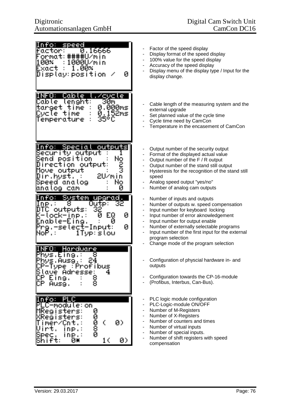| n 370<br>speed<br>factor:<br>0.16666<br>ormat:####U/min<br>00×<br>1000U/min<br>Exact<br>1<br>. ИИХ<br>Display:position<br>Ø                                              | Factor of the speed display<br>Display format of the speed display<br>100% value for the speed display<br>$\overline{\phantom{a}}$<br>Accuracy of the speed display<br>Display menu of the display type / Input for the<br>display change.                                                                                                                                                                                                                                                    |
|--------------------------------------------------------------------------------------------------------------------------------------------------------------------------|-----------------------------------------------------------------------------------------------------------------------------------------------------------------------------------------------------------------------------------------------------------------------------------------------------------------------------------------------------------------------------------------------------------------------------------------------------------------------------------------------|
| Cable,<br>,⁄cvcle<br>INFO: I<br>Cable I<br>lenght:<br>30m<br>0.000ms<br>target<br>time<br>0.152ms<br>time<br>Cvcle<br>35°C<br>Temperature                                | Cable length of the measuring system and the<br>external upgrade<br>Set planned value of the cycle time<br>Cycle time need by CamCon<br>Temperature in the encasement of CamCon                                                                                                                                                                                                                                                                                                               |
| nfo: Special<br>outputs<br>Security output<br>Send position<br>Direction output:<br>output<br>Movell<br>2U⁄min<br>Dir.hyst.<br>No<br>Speed analog<br>anatog<br>П<br>COM  | Output number of the security output<br>$\qquad \qquad \blacksquare$<br>Format of the displayed actual value<br>Output number of the F / R output<br>$\overline{\phantom{0}}$<br>Output number of the stand still output<br>Hysteresis for the recognition of the stand still<br>speed<br>Analog speed output "yes/no"<br>Number of analog cam outputs                                                                                                                                        |
| <u>Svstem </u><br>fo:<br>uparad.<br>Outp:<br>lnp.∶<br>32<br>outputs:<br>Ø<br>ЕQ<br>tock-inp.:<br>и<br>Enable-Eing.<br>И<br>Ø<br>Prg.-select-Input:<br>1Tve:slow<br>NoP.: | Number of inputs and outputs<br>$\overline{\phantom{0}}$<br>Number of outputs w. speed compensation<br>$\overline{\phantom{a}}$<br>Input number for keyboard locking<br>$\blacksquare$<br>Input number of error aknowledgement<br>$\qquad \qquad \blacksquare$<br>Input number for output enable<br>$\qquad \qquad \blacksquare$<br>Number of externally selectable programs<br>Input number of the first input for the external<br>program selection<br>Change mode of the program selection |
| $\square$ :<br>Hardware<br>Phys.Eing.:<br>Phys.Ausg.:<br>24<br>Frrofibus<br>P-Tvpe l<br>4<br>ave Adresse:<br>8<br>8<br>Eina.<br>IСP<br>Ausg.                             | Configuration of physcial hardware in- and<br>outputs<br>Configuration towards the CP-16-module<br>(Profibus, Interbus, Can-Bus).                                                                                                                                                                                                                                                                                                                                                             |
| Info:<br>II.,<br>C-module:on<br>MRegisters:<br>00008<br>Registers:<br>¢<br>Ø)<br>mer/Cnt<br>DP.<br>inp.:<br>10<br>Ø)<br>Ū¥<br>ft:                                        | PLC logic module configuration<br>PLC-Logic-module ON/OFF<br>Number of M-Registers<br>Number of X-Registers<br>$\overline{\phantom{a}}$<br>Number of counters and times<br>Number of virtual inputs<br>Number of special inputs.<br>$\qquad \qquad \blacksquare$<br>Number of shift registers with speed<br>compensation                                                                                                                                                                      |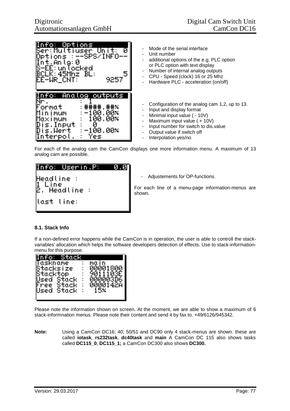| fo: Opti<br>∏nť.Ănla:0 ~<br>S-EE:unlocked<br>BCLK: 45MAZ BL:<br>EE-WR_CNT: | lons<br>Ser:Multiuser Unit: 0<br>Options :--SPS/INFO--<br>Ū<br>5<br>9257                                    |
|----------------------------------------------------------------------------|-------------------------------------------------------------------------------------------------------------|
| Format<br>Minimum<br>Maximum<br>Dis.Tmput :<br>Dis.Wert :-<br>∏nterpol.    | fo: Analog outputs<br>□:井井井井,井井%<br>$-100.002$<br>$\pm~100$ .00 $\times$<br>Ø<br>${\tt :=}100.002$<br>: Yes |

- Mode of the serial interface
- Unit number
- additional options of the e.g. PLC option or PLC option with text display
- Number of internal analog outputs
- CPU Speed (clock) 16 or 25 Mhz
- Hardware PLC acceleration (on/off)
- Configuration of the analog cam 1,2, up to 13.
- Input and display format
- Minimal input value ( 10V)
- Maximum input value ( + 10V)
- Input number for switch to dis.value
- Output value if switch off
- Interpolation yes/no

For each of the analog cam the CamCon displays one more information menu. A maximum of 13 analog cam are possible.



Adjustements for OP-functions.

For each line of a menu-page information-menus are shown.

## **8.1. Stack Info**

If a non-defined error happens while the CamCon is in operation, the user is able to controll the stackvariables' allocation which helps the software developers detection of effects. Use to stack-informationmenu for this purpose.

| info: Stac                                                                                             |                                                                  |
|--------------------------------------------------------------------------------------------------------|------------------------------------------------------------------|
| askname<br>tacksize<br>Stacktop<br>÷<br>Stack<br>÷,<br>Jsed<br>Stack<br>÷<br>nee<br>Stack<br>lsed<br>t | ΜO<br>ח ו<br>00001800<br>90<br>изг<br>000003D<br>0000142A<br>15× |

Please note the information shown on screen. At the moment, we are able to show a maximum of 6 stack-informnation menus. Please note their content and send it by fax to. +49/6126/945342.

**Note:** Using a CamCon DC16; 40; 50/51 and DC90 only 4 stack-menus are shown. these are called **iotask**, **rs232task**, **dc40task** and **main** A CamCon DC 115 also shows tasks called **DC115\_0**, **DC115\_1;** a CamCon DC300 also shows **DC300.**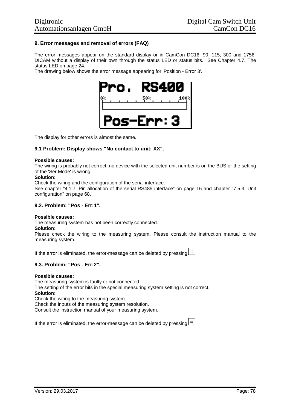## **9. Error messages and removal of errors (FAQ)**

The error messages appear on the standard display or in CamCon DC16, 90, 115, 300 and 1756- DICAM without a display of their own through the status LED or status bits. See Chapter 4.7. The status LED on page 24.

The drawing below shows the error message appearing for 'Position - Error 3'.



The display for other errors is almost the same.

## **9.1 Problem: Display shows "No contact to unit: XX".**

#### **Possible causes:**

The wiring is probably not correct, no device with the selected unit number is on the BUS or the setting of the 'Ser.Mode' is wrong.

#### **Solution:**

Check the wiring and the configuration of the serial interface.

See chapter "4.1.7. Pin allocation of the serial RS485 interface" on page 16 and chapter "7.5.3. Unit configuration" on page 68.

#### **9.2. Problem: "Pos - Err:1".**

#### **Possible causes:**

The measuring system has not been correctly connected.

#### **Solution:**

Please check the wiring to the measuring system. Please consult the instruction manual to the measuring system.

If the error is eliminated, the error-message can be deleted by pressing  $\left| \frac{\text{#}}{\text{#}} \right|$ 

## **9.3. Problem: "Pos - Err:2".**

#### **Possible causes:**

The measuring system is faulty or not connected. The setting of the error bits in the special measuring system setting is not correct. **Solution:** Check the wiring to the measuring system. Check the inputs of the measuring system resolution.

Consult the instruction manual of your measuring system.

If the error is eliminated, the error-message can be deleted by pressing  $\left| \frac{\text{#}}{\text{#}} \right|$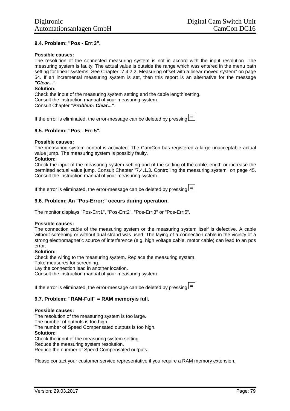## **9.4. Problem: "Pos - Err:3".**

#### **Possible causes:**

The resolution of the connected measuring system is not in accord with the input resolution. The measuring system is faulty. The actual value is outside the range which was entered in the menu path setting for linear systems. See Chapter "7.4.2.2. Measuring offset with a linear moved system" on page 54. If an incremental measuring system is set, then this report is an alternative for the message *"Clear..."*.

### **Solution:**

Check the input of the measuring system setting and the cable length setting. Consult the instruction manual of your measuring system. Consult Chapter *"Problem: Clear..."*.

If the error is eliminated, the error-message can be deleted by pressing  $\left| \frac{\text{#}}{\text{#}} \right|$ 

## **9.5. Problem: "Pos - Err:5".**

### **Possible causes:**

The measuring system control is activated. The CamCon has registered a large unacceptable actual value jump. The measuring system is possibly faulty.

#### **Solution:**

Check the input of the measuring system setting and of the setting of the cable length or increase the permitted actual value jump. Consult Chapter "7.4.1.3. Controlling the measuring system" on page 45. Consult the instruction manual of your measuring system.

If the error is eliminated, the error-message can be deleted by pressing  $\boxed{\text{#}}$ 

## **9.6. Problem: An "Pos-Error:" occurs during operation.**

The monitor displays "Pos-Err:1", "Pos-Err:2", "Pos-Err:3" or "Pos-Err:5".

#### **Possible causes:**

The connection cable of the measuring system or the measuring system itself is defective. A cable without screening or without dual strand was used. The laying of a connection cable in the vicinity of a strong electromagnetic source of interference (e.g. high voltage cable, motor cable) can lead to an pos error.

#### **Solution:**

Check the wiring to the measuring system. Replace the measuring system.

Take measures for screening.

Lay the connection lead in another location.

Consult the instruction manual of your measuring system.

If the error is eliminated, the error-message can be deleted by pressing  $\left| \frac{\text{#}}{\text{#}} \right|$ 

#### **9.7. Problem: "RAM-Full" = RAM memoryis full.**

#### **Possible causes:**

The resolution of the measuring system is too large. The number of outputs is too high. The number of Speed Compensated outputs is too high. **Solution:** Check the input of the measuring system setting. Reduce the measuring system resolution. Reduce the number of Speed Compensated outputs.

Please contact your customer service representative if you require a RAM memory extension.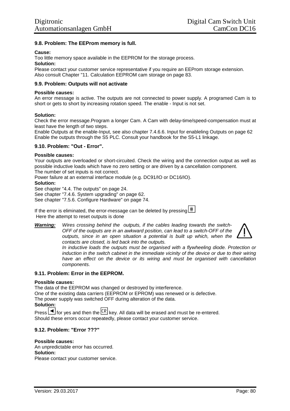## **9.8. Problem: The EEProm memory is full.**

### **Cause:**

Too little memory space available in the EEPROM for the storage process.

#### **Solution:**

Please contact your customer service representative if you require an EEProm storage extension. Also consult Chapter "11. Calculation EEPROM cam storage on page 83.

## **9.9. Problem: Outputs will not activate**

### **Possible causes:**

An error message is active. The outputs are not connected to power supply. A programed Cam is to short or gets to short by increasing rotation speed. The enable - Input is not set.

### **Solution:**

Check the error message.Program a longer Cam. A Cam with delay-time/speed-compensation must at least have the length of two steps.

Enable Outputs at the enable-Input, see also chapter 7.4.6.6. Input for enableling Outputs on page 62 Enable the outputs through the S5 PLC. Consult your handbook for the S5-L1 linkage.

## **9.10. Problem: "Out - Error".**

### **Possible causes:**

Your outputs are overloaded or short-circuited. Check the wiring and the connection output as well as possible inductive loads which have no zero setting or are driven by a cancellation component. The number of set inputs is not correct.

Power failure at an external interface module (e.g. DC91/IO or DC16/IO).

#### **Solution:**

See chapter "4.4. The outputs" on page 24.

See chapter "7.4.6. System upgrading" on page 62.

See chapter "7.5.6. Configure Hardware" on page 74.

If the error is eliminated, the error-message can be deleted by pressing  $\left| \frac{\text{#}}{\text{#}} \right|$ Here the attempt to reset outputs is done

*Warning: Wires crossing behind the outputs, if the cables leading towards the switch-OFF of the outputs are in an awkward position, can lead to a switch-OFF of the outputs, since in an open situation a potential is built up which, when the contacts are closed, is led back into the outputs.*



*In inductive loads the outputs must be organised with a flywheeling diode. Protection or induction in the switch cabinet in the immediate vicinity of the device or due to their wiring have an effect on the device or its wiring and must be organised with cancellation components.*

#### **9.11. Problem: Error in the EEPROM.**

#### **Possible causes:**

The data of the EEPROM was changed or destroyed by interference. One of the existing data carriers (EEPROM or EPROM) was renewed or is defective. The power supply was switched OFF during alteration of the data. **Solution:**

Press  $\Box$  for yes and then the  $\Box$  key. All data will be erased and must be re-entered. Should these errors occur repeatedly, please contact your customer service.

## **9.12. Problem: "Error ???"**

# **Possible causes:**

An unpredictable error has occurred. **Solution:** Please contact your customer service.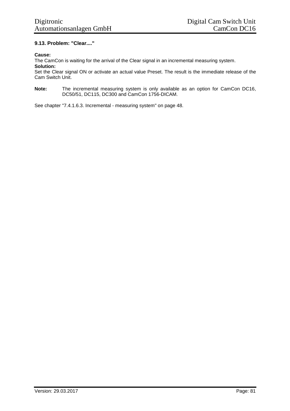## **9.13. Problem: "Clear...."**

### **Cause:**

The CamCon is waiting for the arrival of the Clear signal in an incremental measuring system. **Solution:**

Set the Clear signal ON or activate an actual value Preset. The result is the immediate release of the Cam Switch Unit.

**Note:** The incremental measuring system is only available as an option for CamCon DC16, DC50/51, DC115, DC300 and CamCon 1756-DICAM.

See chapter "7.4.1.6.3. Incremental - measuring system" on page 48.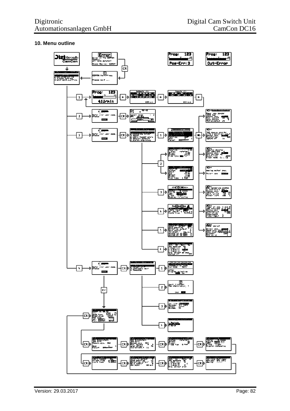## **10. Menu outline**

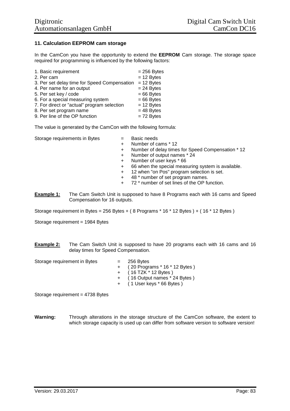## **11. Calculation EEPROM cam storage**

In the CamCon you have the opportunity to extend the **EEPROM** Cam storage. The storage space required for programming is influenced by the following factors:

| 1. Basic requirement                         | $= 256$ Bytes |
|----------------------------------------------|---------------|
| 2. Per cam                                   | $= 12$ Bytes  |
| 3. Per set delay time for Speed Compensation | $= 12$ Bytes  |
| 4. Per name for an output                    | $= 24$ Bytes  |
| 5. Per set key / code                        | $= 66$ Bytes  |
| 6. For a special measuring system            | $= 66$ Bytes  |
| 7. For direct or "actual" program selection  | $= 12$ Bytes  |
| 8. Per set program name                      | $= 48$ Bytes  |
| 9. Per line of the OP function               | $= 72$ Bytes  |

The value is generated by the CamCon with the following formula:

Storage requirements in Bytes  $\qquad \qquad =$  Basic needs

- 
- + Number of cams \* 12
- + Number of delay times for Speed Compensation \* 12
- + Number of output names \* 24
- + Number of user keys \* 66
- + 66 when the special measuring system is available.
- + 12 when "on Pos" program selection is set.
- + 48 \* number of set program names.
- + 72 \* number of set lines of the OP function.
- **Example 1:** The Cam Switch Unit is supposed to have 8 Programs each with 16 cams and Speed Compensation for 16 outputs.

Storage requirement in Bytes = 256 Bytes + ( $8$  Programs  $*$  16  $*$  12 Bytes ) + ( $16$   $*$  12 Bytes )

Storage requirement = 1984 Bytes

**Example 2:** The Cam Switch Unit is supposed to have 20 programs each with 16 cams and 16 delay times for Speed Compensation.

Storage requirement in Bytes  $= 256$  Bytes

- - + ( 20 Programs \* 16 \* 12 Bytes )
	- $+$  ( 16 TZK  $*$  12 Bytes )
	- + ( 16 Output names \* 24 Bytes )
	- + ( 1 User keys \* 66 Bytes )

Storage requirement = 4738 Bytes

**Warning:** Through alterations in the storage structure of the CamCon software, the extent to which storage capacity is used up can differ from software version to software version!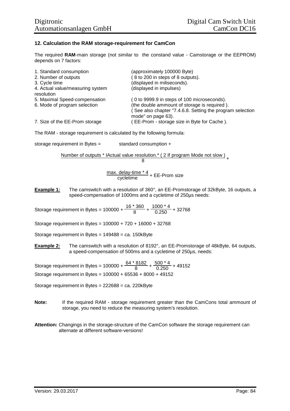## **12. Calculation the RAM storage-requirement for CamCon**

The required **RAM**-main storage (not similar to the constand value - Camstorage or the EEPROM) depends on 7 factors:

| 1. Standard consumption                        | (approximately 100000 Byte)                                                     |
|------------------------------------------------|---------------------------------------------------------------------------------|
| 2. Number of outputs                           | (8 to 200 in steps of 8 outputs).                                               |
| 3. Cycle time                                  | (displayed in miliseconds).                                                     |
| 4. Actual value/measuring system<br>resolution | (displayed in impulses)                                                         |
| 5. Maximal Speed-compensation                  | (0 to 9999.9 in steps of 100 microseconds).                                     |
| 6. Mode of program selection                   | (the double ammount of storage is required).                                    |
|                                                | (See also chapter "7.4.6.8. Setting the program selection<br>mode" on page 63). |
| 7. Size of the EE-Prom storage                 | EE-Prom - storage size in Byte for Cache).                                      |

The RAM - storage requirement is calculated by the following formula:

storage requirement in Bytes = standard consumption +

Number of outputs \* IActual value resolution.\* ( 2 If program Mode not slow ) <sub>+</sub>

$$
8\quad
$$

max. delay-time \* 4<br>cycletime + EE-Prom size

**Example 1:** The camswitch with a resolution of 360°, an EE-Promstorage of 32kByte, 16 outputs, a speed-compensation of 1000ms and a cycletime of 250µs needs:

Storage requirement in Bytes =  $100000 + \frac{16 * 360}{8}$  $\frac{1860}{8}$  +  $\frac{1000 \times 4}{0.250}$  + 32768

Storage requirement in Bytes = 100000 + 720 + 16000 + 32768

Storage requirement in Bytes = 149488 = ca. 150kByte

**Example 2:** The camswitch with a resolution of 8192°, an EE-Promstorage of 48kByte, 64 outputs, a speed-compensation of 500ms and a cycletime of 250µs, needs:

Storage requirement in Bytes = 100000 +  $\frac{64 * 8182}{9}$  $\frac{8182}{8}$  +  $\frac{500 * 4}{0.250}$  + 49152 Storage requirement in Bytes = 100000 + 65536 + 8000 + 49152

Storage requirement in Bytes = 222688 = ca. 220kByte

- **Note:** If the required RAM storage requirement greater than the CamCons total ammount of storage, you need to reduce the measuring system's resolution.
- **Attention:** Changings in the storage-structure of the CamCon software the storage requirement can alternate at different software-versions!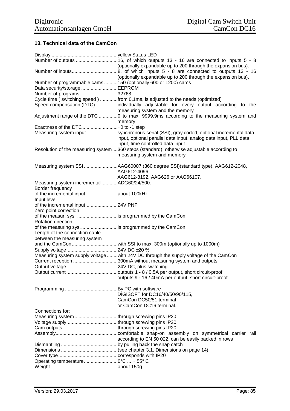# **13. Technical data of the CamCon**

|                                                                                                                     | (optionally expandable up to 200 through the expansion bus).                                                                                         |
|---------------------------------------------------------------------------------------------------------------------|------------------------------------------------------------------------------------------------------------------------------------------------------|
|                                                                                                                     | (optionally expandable up to 200 through the expansion bus).                                                                                         |
| Number of programmable cams 150 (optionally 600 or 1200) cams                                                       |                                                                                                                                                      |
| Data security/storage EEPROM                                                                                        |                                                                                                                                                      |
| Number of programs32768                                                                                             |                                                                                                                                                      |
|                                                                                                                     | Cycle time (switching speed) from 0,1ms, is adjusted to the needs (optimized)                                                                        |
|                                                                                                                     | Speed compensation (DTC) individually adjustable for every output according to the<br>measuring system and the memory                                |
|                                                                                                                     | Adjustment range of the DTC 0 to max. 9999.9ms according to the measuring system and<br>memory                                                       |
| Exactness of the DTC +0 to -1 step                                                                                  |                                                                                                                                                      |
|                                                                                                                     | Measuring system input synchronous serial (SSI), gray coded, optional incremental data                                                               |
|                                                                                                                     | input, optional parallel data input, analog data input, PLL data<br>input, time controlled data input                                                |
|                                                                                                                     | Resolution of the measuring system360 steps (standard), otherwise adjustable according to<br>measuring system and memory                             |
|                                                                                                                     | Measuring system SSI AAG60007 (360 degree SSI)(standard type), AAG612-2048,<br>AAG612-4096,                                                          |
|                                                                                                                     | AAG612-8192, AAG626 or AAG66107.                                                                                                                     |
| Measuring system incremental ADG60/24/500.                                                                          |                                                                                                                                                      |
| Border frequency                                                                                                    |                                                                                                                                                      |
|                                                                                                                     |                                                                                                                                                      |
| Input level                                                                                                         |                                                                                                                                                      |
| of the incremental input24V PNP<br>Zero point correction                                                            |                                                                                                                                                      |
| of the measur. sys. is programmed by the CamCon<br>Rotation direction                                               |                                                                                                                                                      |
| of the measuring sys. is programmed by the CamCon<br>Length of the connection cable<br>between the measuring system |                                                                                                                                                      |
|                                                                                                                     |                                                                                                                                                      |
|                                                                                                                     |                                                                                                                                                      |
|                                                                                                                     |                                                                                                                                                      |
|                                                                                                                     | Measuring system supply voltage with 24V DC through the supply voltage of the CamCon<br>Current reception 300mA without measuring system and outputs |
|                                                                                                                     |                                                                                                                                                      |
|                                                                                                                     |                                                                                                                                                      |
|                                                                                                                     | outputs 9 - 16 / 40mA per output, short circuit-proof                                                                                                |
|                                                                                                                     | DIGISOFT for DC16/40/50/90/115,                                                                                                                      |
|                                                                                                                     | CamCon DC50/51 terminal                                                                                                                              |
|                                                                                                                     | or CamCon DC16 terminal.                                                                                                                             |
| Connections for:                                                                                                    |                                                                                                                                                      |
|                                                                                                                     |                                                                                                                                                      |
|                                                                                                                     |                                                                                                                                                      |
|                                                                                                                     |                                                                                                                                                      |
|                                                                                                                     |                                                                                                                                                      |
|                                                                                                                     | according to EN 50 022, can be easily packed in rows                                                                                                 |
|                                                                                                                     |                                                                                                                                                      |
|                                                                                                                     |                                                                                                                                                      |
|                                                                                                                     |                                                                                                                                                      |
| Operating temperature0°C  +55°C                                                                                     |                                                                                                                                                      |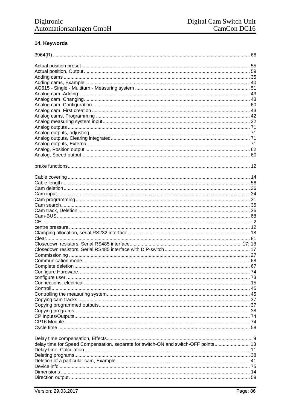# 14. Keywords

| delay time for Speed Compensation, separate for switch-ON and switch-OFF points 13 |  |
|------------------------------------------------------------------------------------|--|
|                                                                                    |  |
|                                                                                    |  |
|                                                                                    |  |
|                                                                                    |  |
|                                                                                    |  |
|                                                                                    |  |